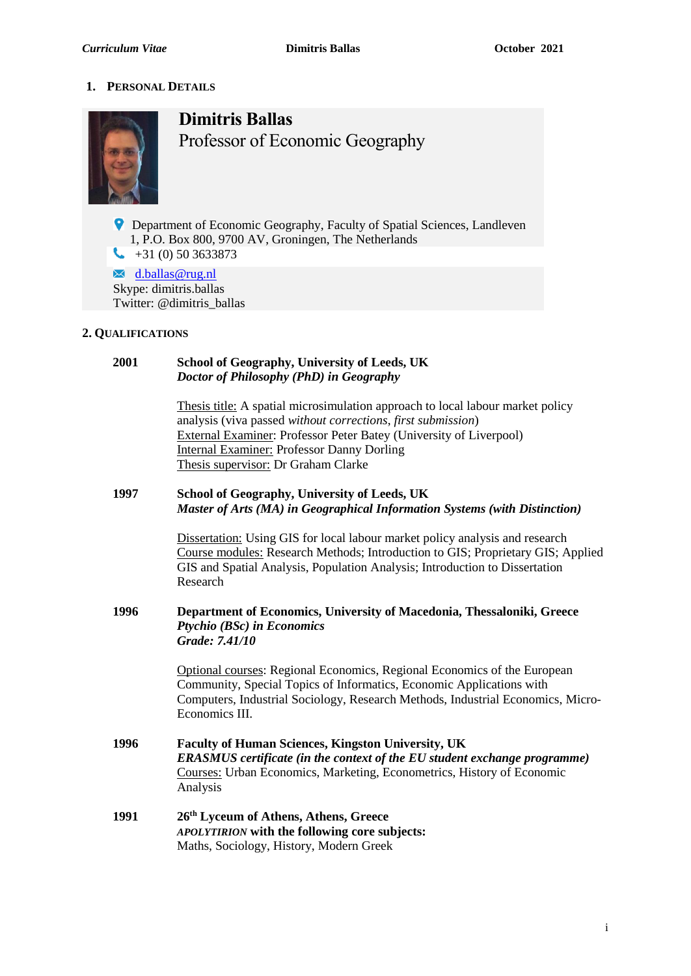# **1. PERSONAL DETAILS**



**Dimitris Ballas** Professor of Economic Geography

**P** Department of Economic Geography, Faculty of Spatial Sciences, Landleven 1, P.O. Box 800, 9700 AV, Groningen, The Netherlands  $\leftarrow$  +31 (0) 50 3633873

 $\mathbf{\times}$  [d.ballas@rug.nl](mailto:d.ballas@rug.nl) Skype: dimitris.ballas Twitter: @dimitris\_ballas

# **2. QUALIFICATIONS**

### **2001 School of Geography, University of Leeds, UK** *Doctor of Philosophy (PhD) in Geography*

Thesis title: A spatial microsimulation approach to local labour market policy analysis (viva passed *without corrections*, *first submission*) External Examiner: Professor Peter Batey (University of Liverpool) Internal Examiner: Professor Danny Dorling Thesis supervisor: Dr Graham Clarke

# **1997 School of Geography, University of Leeds, UK** *Master of Arts (MA) in Geographical Information Systems (with Distinction)*

Dissertation: Using GIS for local labour market policy analysis and research Course modules: Research Methods; Introduction to GIS; Proprietary GIS; Applied GIS and Spatial Analysis, Population Analysis; Introduction to Dissertation Research

### **1996 Department of Economics, University of Macedonia, Thessaloniki, Greece** *Ptychio (BSc) in Economics Grade: 7.41/10*

Optional courses: Regional Economics, Regional Economics of the European Community, Special Topics of Informatics, Economic Applications with Computers, Industrial Sociology, Research Methods, Industrial Economics, Micro-Economics III.

- **1996 Faculty of Human Sciences, Kingston University, UK** *ERASMUS certificate (in the context of the EU student exchange programme)* Courses: Urban Economics, Marketing, Econometrics, History of Economic Analysis
- **1991 26th Lyceum of Athens, Athens, Greece** *APOLYTIRION* **with the following core subjects:** Maths, Sociology, History, Modern Greek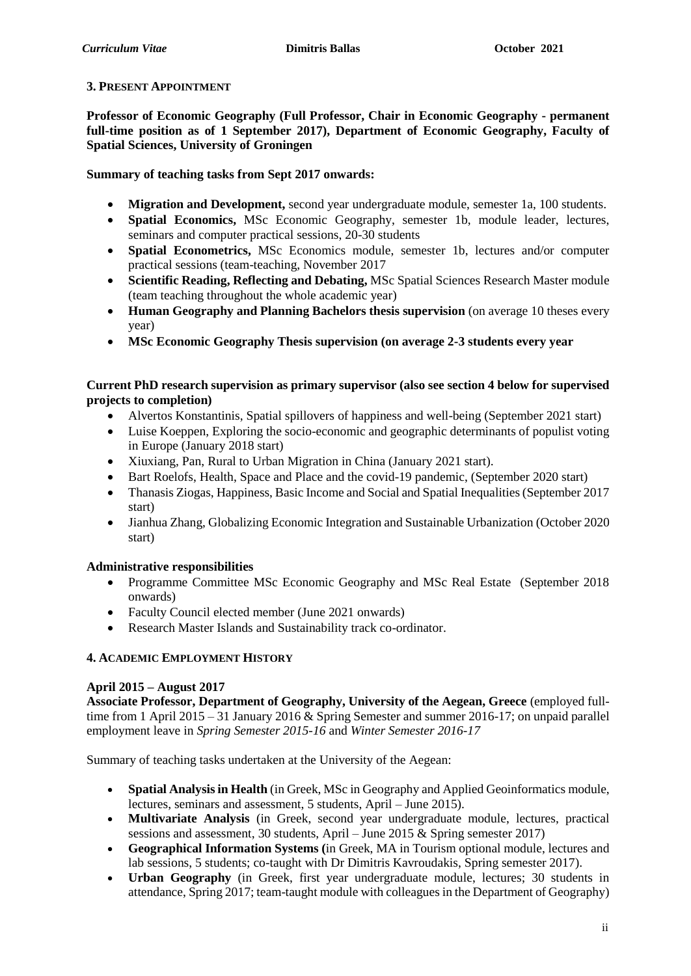### **3. PRESENT APPOINTMENT**

**Professor of Economic Geography (Full Professor, Chair in Economic Geography - permanent full-time position as of 1 September 2017), Department of Economic Geography, Faculty of Spatial Sciences, University of Groningen**

**Summary of teaching tasks from Sept 2017 onwards:**

- **Migration and Development,** second year undergraduate module, semester 1a, 100 students.
- **Spatial Economics,** MSc Economic Geography, semester 1b, module leader, lectures, seminars and computer practical sessions, 20-30 students
- **Spatial Econometrics,** MSc Economics module, semester 1b, lectures and/or computer practical sessions (team-teaching, November 2017
- **Scientific Reading, Reflecting and Debating,** MSc Spatial Sciences Research Master module (team teaching throughout the whole academic year)
- **Human Geography and Planning Bachelors thesis supervision** (on average 10 theses every year)
- **MSc Economic Geography Thesis supervision (on average 2-3 students every year**

# **Current PhD research supervision as primary supervisor (also see section 4 below for supervised projects to completion)**

- Alvertos Konstantinis, Spatial spillovers of happiness and well-being (September 2021 start)
- Luise Koeppen, Exploring the socio-economic and geographic determinants of populist voting in Europe (January 2018 start)
- Xiuxiang, Pan, Rural to Urban Migration in China (January 2021 start).
- Bart Roelofs, Health, Space and Place and the covid-19 pandemic, (September 2020 start)
- Thanasis Ziogas, Happiness, Basic Income and Social and Spatial Inequalities (September 2017 start)
- Jianhua Zhang, Globalizing Economic Integration and Sustainable Urbanization (October 2020 start)

# **Administrative responsibilities**

- Programme Committee MSc Economic Geography and MSc Real Estate (September 2018 onwards)
- Faculty Council elected member (June 2021 onwards)
- Research Master Islands and Sustainability track co-ordinator.

# **4. ACADEMIC EMPLOYMENT HISTORY**

### **April 2015 – August 2017**

**Associate Professor, Department of Geography, University of the Aegean, Greece** (employed fulltime from 1 April 2015 – 31 January 2016 & Spring Semester and summer 2016-17; on unpaid parallel employment leave in *Spring Semester 2015-16* and *Winter Semester 2016-17*

Summary of teaching tasks undertaken at the University of the Aegean:

- **Spatial Analysis in Health** (in Greek, MSc in Geography and Applied Geoinformatics module, lectures, seminars and assessment, 5 students, April – June 2015).
- **Multivariate Analysis** (in Greek, second year undergraduate module, lectures, practical sessions and assessment, 30 students, April – June 2015 & Spring semester 2017)
- **Geographical Information Systems (**in Greek, MA in Tourism optional module, lectures and lab sessions, 5 students; co-taught with Dr Dimitris Kavroudakis, Spring semester 2017).
- **Urban Geography** (in Greek, first year undergraduate module, lectures; 30 students in attendance, Spring 2017; team-taught module with colleagues in the Department of Geography)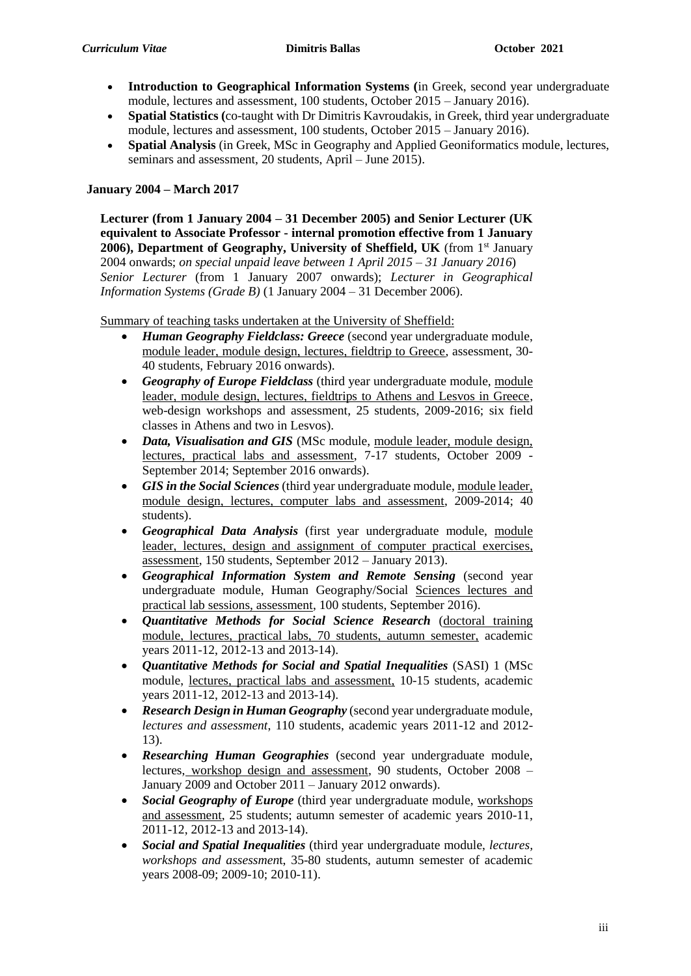- **Introduction to Geographical Information Systems (**in Greek, second year undergraduate module, lectures and assessment, 100 students, October 2015 – January 2016).
- **Spatial Statistics (**co-taught with Dr Dimitris Kavroudakis, in Greek, third year undergraduate module, lectures and assessment, 100 students, October 2015 – January 2016).
- **Spatial Analysis** (in Greek, MSc in Geography and Applied Geoniformatics module, lectures, seminars and assessment, 20 students, April – June 2015).

### **January 2004 – March 2017**

**Lecturer (from 1 January 2004 – 31 December 2005) and Senior Lecturer (UK equivalent to Associate Professor - internal promotion effective from 1 January 2006), Department of Geography, University of Sheffield, UK** (from 1<sup>st</sup> January 2004 onwards; *on special unpaid leave between 1 April 2015 – 31 January 2016*) *Senior Lecturer* (from 1 January 2007 onwards); *Lecturer in Geographical Information Systems (Grade B)* (1 January 2004 – 31 December 2006).

Summary of teaching tasks undertaken at the University of Sheffield:

- *Human Geography Fieldclass: Greece* (second year undergraduate module, module leader, module design, lectures, fieldtrip to Greece, assessment, 30- 40 students, February 2016 onwards).
- *Geography of Europe Fieldclass* (third year undergraduate module, module leader, module design, lectures, fieldtrips to Athens and Lesvos in Greece, web-design workshops and assessment, 25 students, 2009-2016; six field classes in Athens and two in Lesvos).
- *Data, Visualisation and GIS* (MSc module, module leader, module design, lectures, practical labs and assessment, 7-17 students, October 2009 -September 2014; September 2016 onwards).
- *GIS in the Social Sciences* (third year undergraduate module, module leader, module design, lectures, computer labs and assessment, 2009-2014; 40 students).
- *Geographical Data Analysis* (first year undergraduate module, module leader, lectures, design and assignment of computer practical exercises, assessment, 150 students, September 2012 – January 2013).
- *Geographical Information System and Remote Sensing* (second year undergraduate module, Human Geography/Social Sciences lectures and practical lab sessions, assessment, 100 students, September 2016).
- *Quantitative Methods for Social Science Research* (doctoral training module, lectures, practical labs, 70 students, autumn semester, academic years 2011-12, 2012-13 and 2013-14).
- *Quantitative Methods for Social and Spatial Inequalities* (SASI) 1 (MSc module, lectures, practical labs and assessment, 10-15 students, academic years 2011-12, 2012-13 and 2013-14).
- *Research Design in Human Geography* (second year undergraduate module, *lectures and assessment*, 110 students, academic years 2011-12 and 2012- 13).
- *Researching Human Geographies* (second year undergraduate module, lectures, workshop design and assessment, 90 students, October 2008 – January 2009 and October 2011 – January 2012 onwards).
- *Social Geography of Europe* (third year undergraduate module, workshops and assessment, 25 students; autumn semester of academic years 2010-11, 2011-12, 2012-13 and 2013-14).
- *Social and Spatial Inequalities* (third year undergraduate module, *lectures, workshops and assessmen*t, 35-80 students, autumn semester of academic years 2008-09; 2009-10; 2010-11).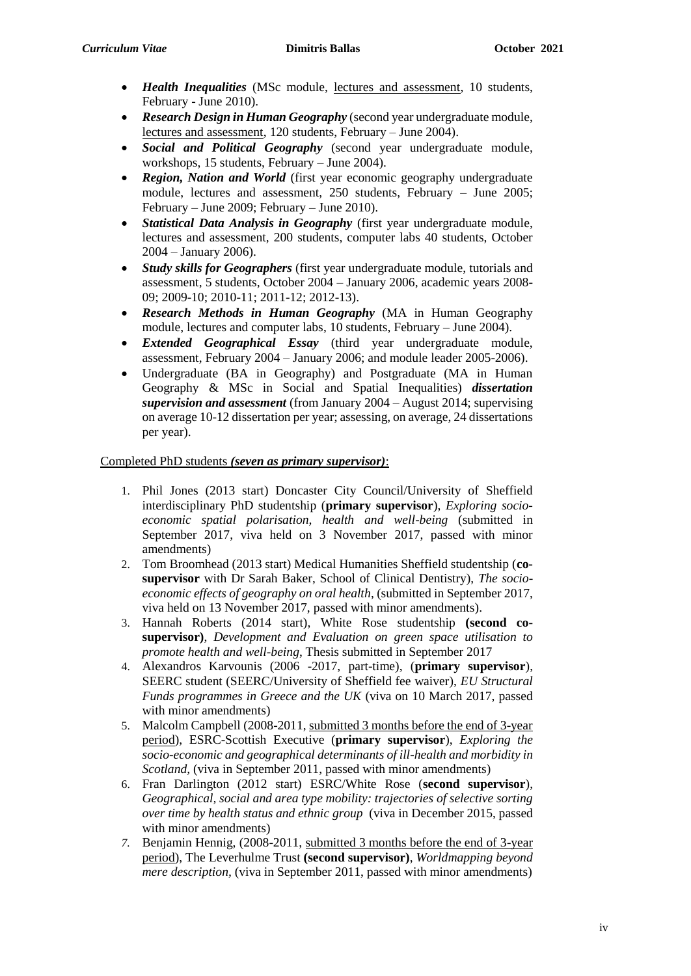- *Health Inequalities* (MSc module, lectures and assessment, 10 students, February - June 2010).
- *Research Design in Human Geography* (second year undergraduate module, lectures and assessment, 120 students, February – June 2004).
- *Social and Political Geography* (second year undergraduate module, workshops, 15 students, February – June 2004).
- *Region, Nation and World* (first year economic geography undergraduate module, lectures and assessment, 250 students, February – June 2005; February – June 2009; February – June 2010).
- *Statistical Data Analysis in Geography* (first year undergraduate module, lectures and assessment, 200 students, computer labs 40 students, October 2004 – January 2006).
- *Study skills for Geographers* (first year undergraduate module, tutorials and assessment, 5 students, October 2004 – January 2006, academic years 2008- 09; 2009-10; 2010-11; 2011-12; 2012-13).
- *Research Methods in Human Geography* (MA in Human Geography module, lectures and computer labs, 10 students, February – June 2004).
- *Extended Geographical Essay* (third year undergraduate module, assessment, February 2004 – January 2006; and module leader 2005-2006).
- Undergraduate (BA in Geography) and Postgraduate (MA in Human Geography & MSc in Social and Spatial Inequalities) *dissertation supervision and assessment* (from January 2004 – August 2014; supervising on average 10-12 dissertation per year; assessing, on average, 24 dissertations per year).

## Completed PhD students *(seven as primary supervisor)*:

- 1. Phil Jones (2013 start) Doncaster City Council/University of Sheffield interdisciplinary PhD studentship (**primary supervisor**), *Exploring socioeconomic spatial polarisation, health and well-being* (submitted in September 2017, viva held on 3 November 2017, passed with minor amendments)
- 2. Tom Broomhead (2013 start) Medical Humanities Sheffield studentship (**cosupervisor** with Dr Sarah Baker, School of Clinical Dentistry), *The socioeconomic effects of geography on oral health*, (submitted in September 2017, viva held on 13 November 2017, passed with minor amendments).
- 3. Hannah Roberts (2014 start), White Rose studentship **(second cosupervisor)**, *Development and Evaluation on green space utilisation to promote health and well-being*, Thesis submitted in September 2017
- 4. Alexandros Karvounis (2006 -2017, part-time), (**primary supervisor**), SEERC student (SEERC/University of Sheffield fee waiver), *EU Structural Funds programmes in Greece and the UK* (viva on 10 March 2017, passed with minor amendments)
- 5. Malcolm Campbell (2008-2011, submitted 3 months before the end of 3-year period), ESRC-Scottish Executive (**primary supervisor**), *Exploring the socio-economic and geographical determinants of ill-health and morbidity in Scotland,* (viva in September 2011, passed with minor amendments)
- 6. Fran Darlington (2012 start) ESRC/White Rose (**second supervisor**), *Geographical, social and area type mobility: trajectories of selective sorting over time by health status and ethnic group* (viva in December 2015, passed with minor amendments)
- *7.* Benjamin Hennig, (2008-2011, submitted 3 months before the end of 3-year period), The Leverhulme Trust **(second supervisor)**, *Worldmapping beyond mere description,* (viva in September 2011, passed with minor amendments)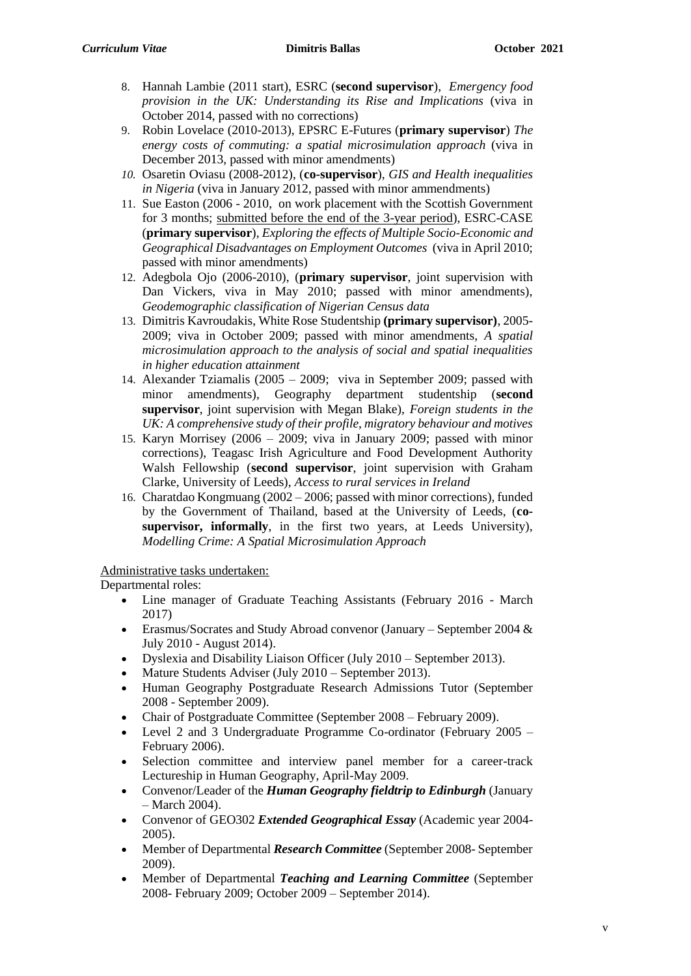- 8. Hannah Lambie (2011 start), ESRC (**second supervisor**), *Emergency food provision in the UK: Understanding its Rise and Implications* (viva in October 2014, passed with no corrections)
- 9. Robin Lovelace (2010-2013), EPSRC E-Futures (**primary supervisor**) *The energy costs of commuting: a spatial microsimulation approach* (viva in December 2013, passed with minor amendments)
- *10.* Osaretin Oviasu (2008-2012), (**co-supervisor**), *GIS and Health inequalities in Nigeria* (viva in January 2012, passed with minor ammendments)
- 11. Sue Easton (2006 2010, on work placement with the Scottish Government for 3 months; submitted before the end of the 3-year period), ESRC-CASE (**primary supervisor**), *Exploring the effects of Multiple Socio-Economic and Geographical Disadvantages on Employment Outcomes* (viva in April 2010; passed with minor amendments)
- 12. Adegbola Ojo (2006-2010), (**primary supervisor**, joint supervision with Dan Vickers, viva in May 2010; passed with minor amendments), *Geodemographic classification of Nigerian Census data*
- 13. Dimitris Kavroudakis, White Rose Studentship **(primary supervisor)**, 2005- 2009; viva in October 2009; passed with minor amendments, *A spatial microsimulation approach to the analysis of social and spatial inequalities in higher education attainment*
- 14. Alexander Tziamalis (2005 2009; viva in September 2009; passed with minor amendments), Geography department studentship (**second supervisor**, joint supervision with Megan Blake), *Foreign students in the UK: A comprehensive study of their profile, migratory behaviour and motives*
- 15. Karyn Morrisey (2006 2009; viva in January 2009; passed with minor corrections), Teagasc Irish Agriculture and Food Development Authority Walsh Fellowship (**second supervisor**, joint supervision with Graham Clarke, University of Leeds), *Access to rural services in Ireland*
- 16. Charatdao Kongmuang (2002 2006; passed with minor corrections), funded by the Government of Thailand, based at the University of Leeds, (**cosupervisor, informally**, in the first two years, at Leeds University), *Modelling Crime: A Spatial Microsimulation Approach*

# Administrative tasks undertaken:

Departmental roles:

- Line manager of Graduate Teaching Assistants (February 2016 March 2017)
- Erasmus/Socrates and Study Abroad convenor (January September 2004 & July 2010 - August 2014).
- Dyslexia and Disability Liaison Officer (July 2010 September 2013).
- Mature Students Adviser (July 2010 September 2013).
- Human Geography Postgraduate Research Admissions Tutor (September 2008 - September 2009).
- Chair of Postgraduate Committee (September 2008 February 2009).
- Level 2 and 3 Undergraduate Programme Co-ordinator (February 2005 February 2006).
- Selection committee and interview panel member for a career-track Lectureship in Human Geography, April-May 2009.
- Convenor/Leader of the *Human Geography fieldtrip to Edinburgh* (January – March 2004).
- Convenor of GEO302 *Extended Geographical Essay* (Academic year 2004- 2005).
- Member of Departmental *Research Committee* (September 2008- September 2009).
- Member of Departmental *Teaching and Learning Committee* (September 2008- February 2009; October 2009 – September 2014).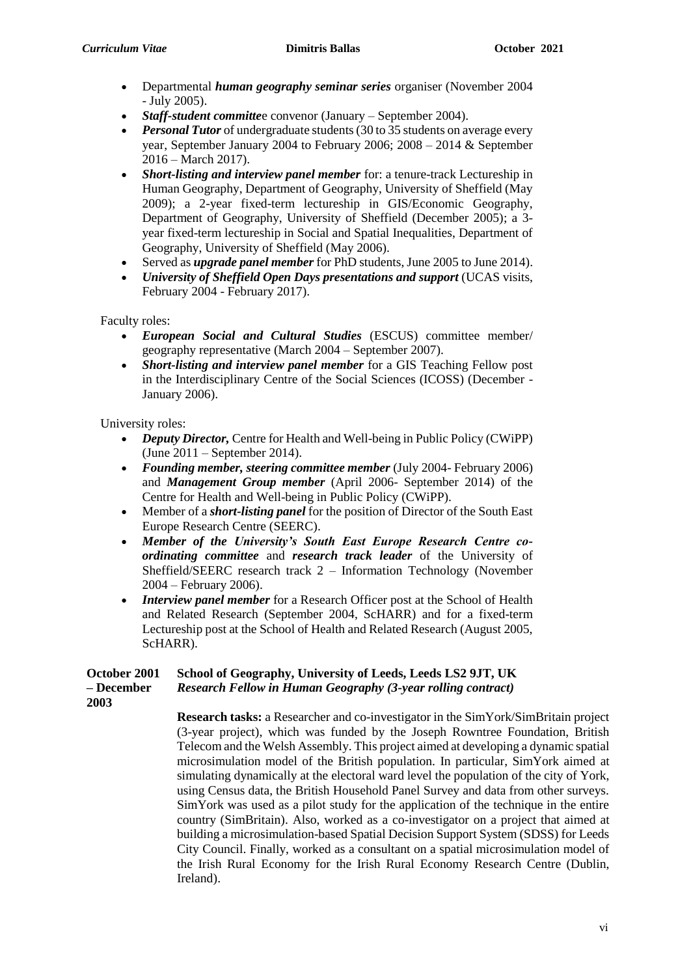- Departmental *human geography seminar series* organiser (November 2004 - July 2005).
- *Staff-student committe*e convenor (January September 2004).
- Personal Tutor of undergraduate students (30 to 35 students on average every year, September January 2004 to February 2006; 2008 – 2014 & September 2016 – March 2017).
- *Short-listing and interview panel member* for: a tenure-track Lectureship in Human Geography, Department of Geography, University of Sheffield (May 2009); a 2-year fixed-term lectureship in GIS/Economic Geography, Department of Geography, University of Sheffield (December 2005); a 3 year fixed-term lectureship in Social and Spatial Inequalities, Department of Geography, University of Sheffield (May 2006).
- Served as *upgrade panel member* for PhD students, June 2005 to June 2014).
- *University of Sheffield Open Days presentations and support* (UCAS visits, February 2004 - February 2017).

Faculty roles:

- *European Social and Cultural Studies* (ESCUS) committee member/ geography representative (March 2004 – September 2007).
- *Short-listing and interview panel member* for a GIS Teaching Fellow post in the Interdisciplinary Centre of the Social Sciences (ICOSS) (December - January 2006).

University roles:

- *Deputy Director,* Centre for Health and Well-being in Public Policy (CWiPP) (June 2011 – September 2014).
- *Founding member, steering committee member* (July 2004- February 2006) and *Management Group member* (April 2006- September 2014) of the Centre for Health and Well-being in Public Policy (CWiPP).
- Member of a *short-listing panel* for the position of Director of the South East Europe Research Centre (SEERC).
- *Member of the University's South East Europe Research Centre coordinating committee* and *research track leader* of the University of Sheffield/SEERC research track 2 – Information Technology (November 2004 – February 2006).
- *Interview panel member* for a Research Officer post at the School of Health and Related Research (September 2004, ScHARR) and for a fixed-term Lectureship post at the School of Health and Related Research (August 2005, ScHARR).

### **October 2001 – December School of Geography, University of Leeds, Leeds LS2 9JT, UK** *Research Fellow in Human Geography (3-year rolling contract)*

**2003**

**Research tasks:** a Researcher and co-investigator in the SimYork/SimBritain project (3-year project), which was funded by the Joseph Rowntree Foundation, British Telecom and the Welsh Assembly. This project aimed at developing a dynamic spatial microsimulation model of the British population. In particular, SimYork aimed at simulating dynamically at the electoral ward level the population of the city of York, using Census data, the British Household Panel Survey and data from other surveys. SimYork was used as a pilot study for the application of the technique in the entire country (SimBritain). Also, worked as a co-investigator on a project that aimed at building a microsimulation-based Spatial Decision Support System (SDSS) for Leeds City Council. Finally, worked as a consultant on a spatial microsimulation model of the Irish Rural Economy for the Irish Rural Economy Research Centre (Dublin, Ireland).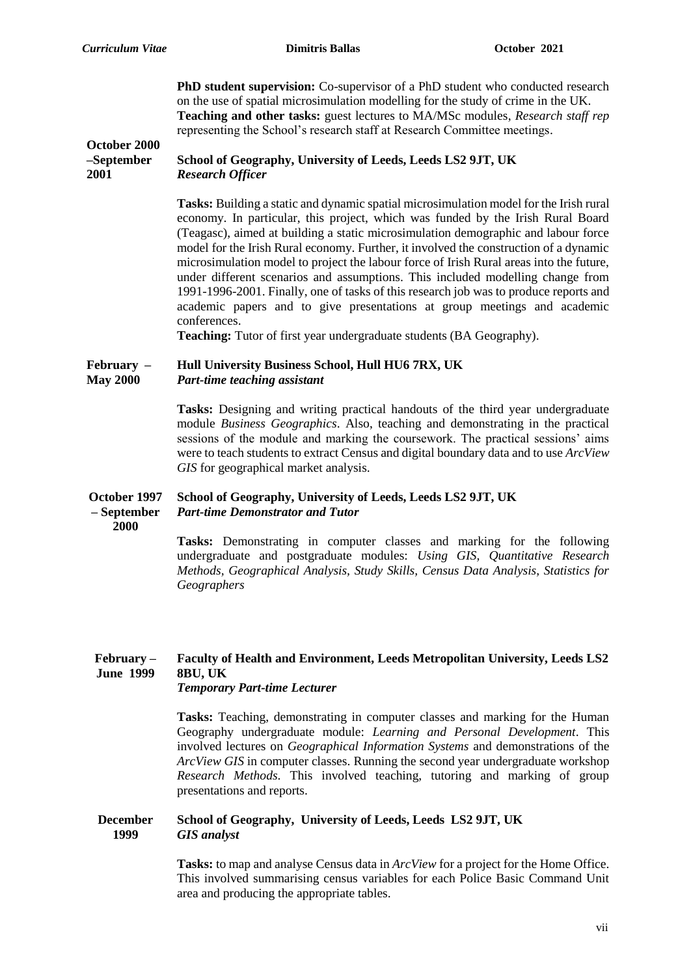**October 2000** 

**PhD student supervision:** Co-supervisor of a PhD student who conducted research on the use of spatial microsimulation modelling for the study of crime in the UK. **Teaching and other tasks:** guest lectures to MA/MSc modules, *Research staff rep* representing the School's research staff at Research Committee meetings.

### **–September 2001 School of Geography, University of Leeds, Leeds LS2 9JT, UK** *Research Officer*

**Tasks:** Building a static and dynamic spatial microsimulation model for the Irish rural economy. In particular, this project, which was funded by the Irish Rural Board (Teagasc), aimed at building a static microsimulation demographic and labour force model for the Irish Rural economy. Further, it involved the construction of a dynamic microsimulation model to project the labour force of Irish Rural areas into the future, under different scenarios and assumptions. This included modelling change from 1991-1996-2001. Finally, one of tasks of this research job was to produce reports and academic papers and to give presentations at group meetings and academic conferences.

**Teaching:** Tutor of first year undergraduate students (BA Geography).

#### **February – May 2000 Hull University Business School, Hull HU6 7RX, UK** *Part-time teaching assistant*

**Tasks:** Designing and writing practical handouts of the third year undergraduate module *Business Geographics*. Also, teaching and demonstrating in the practical sessions of the module and marking the coursework. The practical sessions' aims were to teach students to extract Census and digital boundary data and to use *ArcView GIS* for geographical market analysis.

### **October 1997 – September School of Geography, University of Leeds, Leeds LS2 9JT, UK** *Part-time Demonstrator and Tutor*

**2000**

**Tasks:** Demonstrating in computer classes and marking for the following undergraduate and postgraduate modules: *Using GIS, Quantitative Research Methods, Geographical Analysis, Study Skills, Census Data Analysis, Statistics for Geographers*

### **February – June 1999 Faculty of Health and Environment, Leeds Metropolitan University, Leeds LS2 8BU, UK** *Temporary Part-time Lecturer*

**Tasks:** Teaching, demonstrating in computer classes and marking for the Human Geography undergraduate module: *Learning and Personal Development*. This involved lectures on *Geographical Information Systems* and demonstrations of the *ArcView GIS* in computer classes. Running the second year undergraduate workshop *Research Methods*. This involved teaching, tutoring and marking of group presentations and reports.

#### **December 1999 School of Geography, University of Leeds, Leeds LS2 9JT, UK** *GIS analyst*

**Tasks:** to map and analyse Census data in *ArcView* for a project for the Home Office. This involved summarising census variables for each Police Basic Command Unit area and producing the appropriate tables.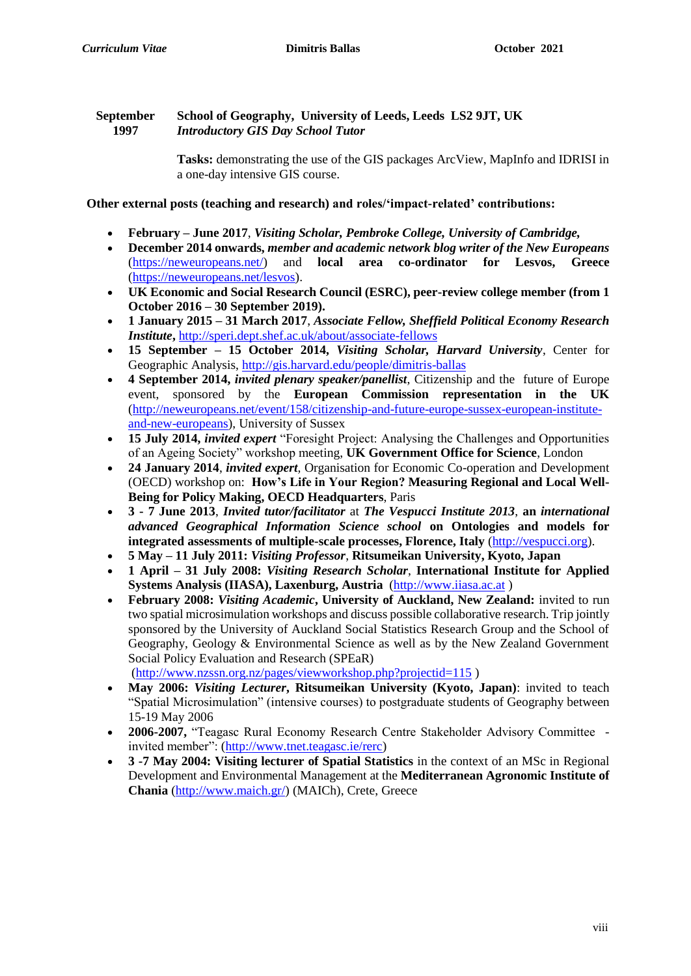#### **September 1997 School of Geography, University of Leeds, Leeds LS2 9JT, UK** *Introductory GIS Day School Tutor*

**Tasks:** demonstrating the use of the GIS packages ArcView, MapInfo and IDRISI in a one-day intensive GIS course.

**Other external posts (teaching and research) and roles/'impact-related' contributions:**

- **February – June 2017**, *Visiting Scholar, Pembroke College, University of Cambridge,*
- **December 2014 onwards,** *member and academic network blog writer of the New Europeans*  [\(https://neweuropeans.net/\)](https://neweuropeans.net/) and **local area co-ordinator for Lesvos, Greece** [\(https://neweuropeans.net/lesvos\)](https://neweuropeans.net/lesvos).
- **UK Economic and Social Research Council (ESRC), peer-review college member (from 1 October 2016 – 30 September 2019).**
- **1 January 2015 – 31 March 2017**, *Associate Fellow, Sheffield Political Economy Research Institute***,** <http://speri.dept.shef.ac.uk/about/associate-fellows>
- **15 September – 15 October 2014,** *Visiting Scholar, Harvard University*, Center for Geographic Analysis,<http://gis.harvard.edu/people/dimitris-ballas>
- **4 September 2014,** *invited plenary speaker/panellist*, Citizenship and the future of Europe event, sponsored by the **European Commission representation in the UK** [\(http://neweuropeans.net/event/158/citizenship-and-future-europe-sussex-european-institute](http://neweuropeans.net/event/158/citizenship-and-future-europe-sussex-european-institute-and-new-europeans)[and-new-europeans\)](http://neweuropeans.net/event/158/citizenship-and-future-europe-sussex-european-institute-and-new-europeans), University of Sussex
- **15 July 2014,** *invited expert* "Foresight Project: Analysing the Challenges and Opportunities of an Ageing Society" workshop meeting, **UK Government Office for Science**, London
- **24 January 2014**, *invited expert,* Organisation for Economic Co-operation and Development (OECD) workshop on: **How's Life in Your Region? Measuring Regional and Local Well-Being for Policy Making, OECD Headquarters**, Paris
- **3 - 7 June 2013**, *Invited tutor/facilitator* at *The Vespucci Institute 2013*, **an** *international advanced Geographical Information Science school* **on Ontologies and models for integrated assessments of multiple-scale processes, Florence, Italy** [\(http://vespucci.org\)](http://vespucci.org/).
- **5 May – 11 July 2011:** *Visiting Professor*, **Ritsumeikan University, Kyoto, Japan**
- **1 April – 31 July 2008:** *Visiting Research Scholar*, **International Institute for Applied Systems Analysis (IIASA), Laxenburg, Austria** [\(http://www.iiasa.ac.at](http://www.iiasa.ac.at/) )
- **February 2008:** *Visiting Academic***, University of Auckland, New Zealand:** invited to run two spatial microsimulation workshops and discuss possible collaborative research. Trip jointly sponsored by the University of Auckland Social Statistics Research Group and the School of Geography, Geology & Environmental Science as well as by the New Zealand Government Social Policy Evaluation and Research (SPEaR)

[\(http://www.nzssn.org.nz/pages/viewworkshop.php?projectid=115](http://www.nzssn.org.nz/pages/viewworkshop.php?projectid=115) )

- **May 2006:** *Visiting Lecturer***, Ritsumeikan University (Kyoto, Japan)**: invited to teach "Spatial Microsimulation" (intensive courses) to postgraduate students of Geography between 15-19 May 2006
- **2006-2007,** "Teagasc Rural Economy Research Centre Stakeholder Advisory Committee invited member": [\(http://www.tnet.teagasc.ie/rerc\)](http://www.tnet.teagasc.ie/rerc)
- **3 -7 May 2004: Visiting lecturer of Spatial Statistics** in the context of an MSc in Regional Development and Environmental Management at the **Mediterranean Agronomic Institute of Chania** [\(http://www.maich.gr/\)](http://www.maich.gr/) (MAICh), Crete, Greece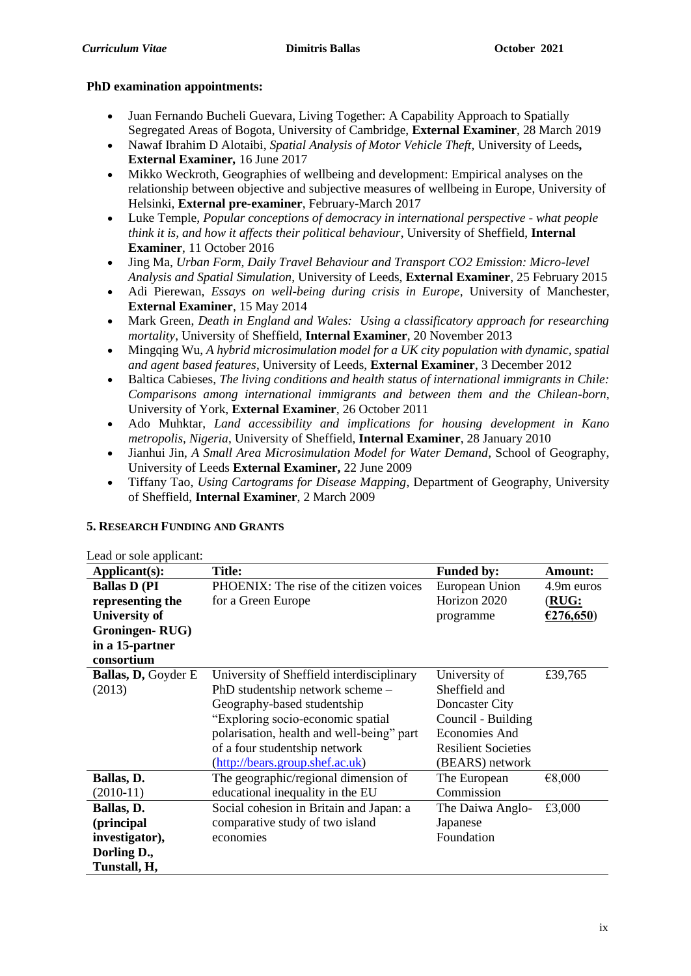## **PhD examination appointments:**

- Juan Fernando Bucheli Guevara, Living Together: A Capability Approach to Spatially Segregated Areas of Bogota, University of Cambridge, **External Examiner**, 28 March 2019
- Nawaf Ibrahim D Alotaibi, *Spatial Analysis of Motor Vehicle Theft*, University of Leeds*,*  **External Examiner***,* 16 June 2017
- Mikko Weckroth, Geographies of wellbeing and development: Empirical analyses on the relationship between objective and subjective measures of wellbeing in Europe, University of Helsinki, **External pre-examiner**, February-March 2017
- Luke Temple, *Popular conceptions of democracy in international perspective - what people think it is, and how it affects their political behaviour*, University of Sheffield, **Internal Examiner**, 11 October 2016
- Jing Ma, *Urban Form, Daily Travel Behaviour and Transport CO2 Emission: Micro-level Analysis and Spatial Simulation*, University of Leeds, **External Examiner**, 25 February 2015
- Adi Pierewan, *Essays on well-being during crisis in Europe*, University of Manchester, **External Examiner**, 15 May 2014
- Mark Green, *Death in England and Wales: Using a classificatory approach for researching mortality*, University of Sheffield, **Internal Examiner**, 20 November 2013
- Mingqing Wu, *A hybrid microsimulation model for a UK city population with dynamic, spatial and agent based features*, University of Leeds, **External Examiner**, 3 December 2012
- Baltica Cabieses, *The living conditions and health status of international immigrants in Chile: Comparisons among international immigrants and between them and the Chilean-born*, University of York, **External Examiner**, 26 October 2011
- Ado Muhktar, *Land accessibility and implications for housing development in Kano metropolis, Nigeria*, University of Sheffield, **Internal Examiner**, 28 January 2010
- Jianhui Jin, *A Small Area Microsimulation Model for Water Demand*, School of Geography, University of Leeds **External Examiner,** 22 June 2009
- Tiffany Tao, *Using Cartograms for Disease Mapping*, Department of Geography, University of Sheffield, **Internal Examiner**, 2 March 2009

| Lead or sole applicant:    |                                           |                            |                |
|----------------------------|-------------------------------------------|----------------------------|----------------|
| Applicant(s):              | Title:                                    | <b>Funded by:</b>          | <b>Amount:</b> |
| <b>Ballas D (PI)</b>       | PHOENIX: The rise of the citizen voices   | European Union             | 4.9m euros     |
| representing the           | for a Green Europe                        | Horizon 2020               | (RUG:          |
| <b>University of</b>       |                                           | programme                  | €276,650)      |
| Groningen-RUG)             |                                           |                            |                |
| in a 15-partner            |                                           |                            |                |
| consortium                 |                                           |                            |                |
| <b>Ballas, D, Goyder E</b> | University of Sheffield interdisciplinary | University of              | £39,765        |
| (2013)                     | PhD studentship network scheme –          | Sheffield and              |                |
|                            | Geography-based studentship               | Doncaster City             |                |
|                            | "Exploring socio-economic spatial         | Council - Building         |                |
|                            | polarisation, health and well-being" part | Economies And              |                |
|                            | of a four studentship network             | <b>Resilient Societies</b> |                |
|                            | (http://bears.group.shef.ac.uk)           | (BEARS) network            |                |
| Ballas, D.                 | The geographic/regional dimension of      | The European               | €8,000         |
| $(2010-11)$                | educational inequality in the EU          | Commission                 |                |
| Ballas, D.                 | Social cohesion in Britain and Japan: a   | The Daiwa Anglo-           | £3,000         |
| (principal                 | comparative study of two island           | Japanese                   |                |
| investigator),             | economies                                 | Foundation                 |                |
| Dorling D.,                |                                           |                            |                |
| Tunstall, H,               |                                           |                            |                |

# **5. RESEARCH FUNDING AND GRANTS**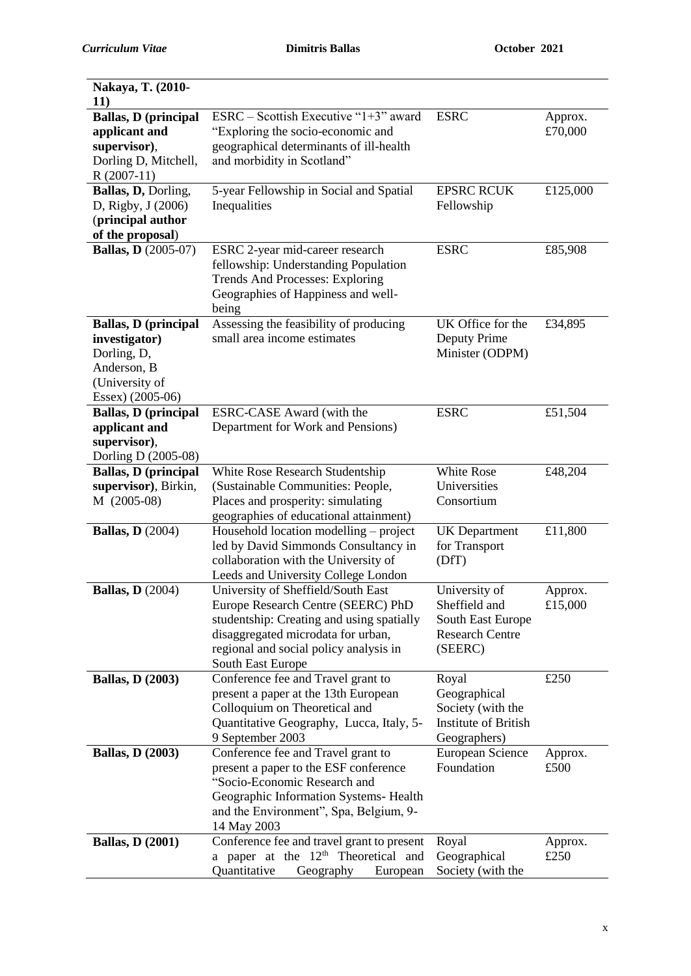| Nakaya, T. (2010-                                  |                                                                              |                                                  |          |
|----------------------------------------------------|------------------------------------------------------------------------------|--------------------------------------------------|----------|
| <b>11</b> )                                        |                                                                              |                                                  |          |
| <b>Ballas, D (principal</b>                        | $ESRC - Scottish Executive "1+3" award$                                      | <b>ESRC</b>                                      | Approx.  |
| applicant and<br>supervisor),                      | "Exploring the socio-economic and<br>geographical determinants of ill-health |                                                  | £70,000  |
| Dorling D, Mitchell,                               | and morbidity in Scotland"                                                   |                                                  |          |
| $R(2007-11)$                                       |                                                                              |                                                  |          |
| Ballas, D, Dorling,                                | 5-year Fellowship in Social and Spatial                                      | <b>EPSRC RCUK</b>                                | £125,000 |
| D, Rigby, J (2006)                                 | Inequalities                                                                 | Fellowship                                       |          |
| (principal author                                  |                                                                              |                                                  |          |
| of the proposal)                                   |                                                                              |                                                  |          |
| <b>Ballas, D</b> (2005-07)                         | ESRC 2-year mid-career research                                              | <b>ESRC</b>                                      | £85,908  |
|                                                    | fellowship: Understanding Population                                         |                                                  |          |
|                                                    | <b>Trends And Processes: Exploring</b>                                       |                                                  |          |
|                                                    | Geographies of Happiness and well-                                           |                                                  |          |
|                                                    | being                                                                        |                                                  |          |
| <b>Ballas, D</b> (principal                        | Assessing the feasibility of producing                                       | UK Office for the                                | £34,895  |
| investigator)                                      | small area income estimates                                                  | Deputy Prime                                     |          |
| Dorling, D,                                        |                                                                              | Minister (ODPM)                                  |          |
| Anderson, B                                        |                                                                              |                                                  |          |
| (University of                                     |                                                                              |                                                  |          |
| Essex) (2005-06)                                   |                                                                              |                                                  |          |
| <b>Ballas, D (principal</b>                        | ESRC-CASE Award (with the                                                    | <b>ESRC</b>                                      | £51,504  |
| applicant and                                      | Department for Work and Pensions)                                            |                                                  |          |
| supervisor),                                       |                                                                              |                                                  |          |
| Dorling D (2005-08)<br><b>Ballas, D</b> (principal | White Rose Research Studentship                                              | White Rose                                       | £48,204  |
| supervisor), Birkin,                               | (Sustainable Communities: People,                                            | Universities                                     |          |
| M (2005-08)                                        | Places and prosperity: simulating                                            | Consortium                                       |          |
|                                                    | geographies of educational attainment)                                       |                                                  |          |
| <b>Ballas, D</b> (2004)                            | Household location modelling – project                                       | <b>UK</b> Department                             | £11,800  |
|                                                    | led by David Simmonds Consultancy in                                         | for Transport                                    |          |
|                                                    | collaboration with the University of                                         | (DfT)                                            |          |
|                                                    | Leeds and University College London                                          |                                                  |          |
| <b>Ballas, D</b> (2004)                            | University of Sheffield/South East                                           | University of                                    | Approx.  |
|                                                    | Europe Research Centre (SEERC) PhD                                           | Sheffield and                                    | £15,000  |
|                                                    | studentship: Creating and using spatially                                    | South East Europe                                |          |
|                                                    | disaggregated microdata for urban,                                           | <b>Research Centre</b>                           |          |
|                                                    | regional and social policy analysis in                                       | (SEERC)                                          |          |
|                                                    | South East Europe                                                            |                                                  |          |
| <b>Ballas, D (2003)</b>                            | Conference fee and Travel grant to                                           | Royal                                            | £250     |
|                                                    | present a paper at the 13th European                                         | Geographical                                     |          |
|                                                    | Colloquium on Theoretical and                                                | Society (with the<br><b>Institute of British</b> |          |
|                                                    | Quantitative Geography, Lucca, Italy, 5-<br>9 September 2003                 | Geographers)                                     |          |
| <b>Ballas, D (2003)</b>                            | Conference fee and Travel grant to                                           | European Science                                 | Approx.  |
|                                                    | present a paper to the ESF conference                                        | Foundation                                       | £500     |
|                                                    | "Socio-Economic Research and                                                 |                                                  |          |
|                                                    | Geographic Information Systems-Health                                        |                                                  |          |
|                                                    | and the Environment", Spa, Belgium, 9-                                       |                                                  |          |
|                                                    | 14 May 2003                                                                  |                                                  |          |
| <b>Ballas, D (2001)</b>                            | Conference fee and travel grant to present                                   | Royal                                            | Approx.  |
|                                                    | a paper at the $12th$ Theoretical and                                        | Geographical                                     | £250     |
|                                                    | Quantitative<br>Geography<br>European                                        | Society (with the                                |          |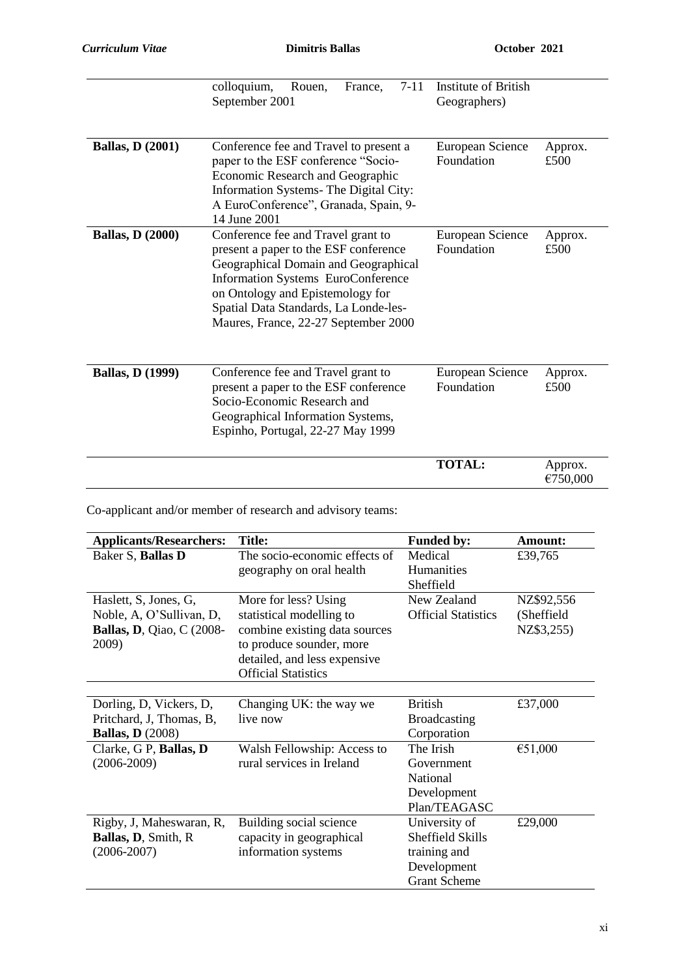|                         | colloquium,<br>$7 - 11$<br>Rouen,<br>France,<br>September 2001                                                                                                                                                                                                                        | Institute of British<br>Geographers) |                     |
|-------------------------|---------------------------------------------------------------------------------------------------------------------------------------------------------------------------------------------------------------------------------------------------------------------------------------|--------------------------------------|---------------------|
| <b>Ballas, D (2001)</b> | Conference fee and Travel to present a<br>paper to the ESF conference "Socio-<br>Economic Research and Geographic<br>Information Systems-The Digital City:<br>A EuroConference", Granada, Spain, 9-<br>14 June 2001                                                                   | European Science<br>Foundation       | Approx.<br>£500     |
| <b>Ballas, D (2000)</b> | Conference fee and Travel grant to<br>present a paper to the ESF conference<br>Geographical Domain and Geographical<br><b>Information Systems EuroConference</b><br>on Ontology and Epistemology for<br>Spatial Data Standards, La Londe-les-<br>Maures, France, 22-27 September 2000 | European Science<br>Foundation       | Approx.<br>£500     |
| <b>Ballas, D (1999)</b> | Conference fee and Travel grant to<br>present a paper to the ESF conference<br>Socio-Economic Research and<br>Geographical Information Systems,<br>Espinho, Portugal, 22-27 May 1999                                                                                                  | European Science<br>Foundation       | Approx.<br>£500     |
|                         |                                                                                                                                                                                                                                                                                       | <b>TOTAL:</b>                        | Approx.<br>€750,000 |

Co-applicant and/or member of research and advisory teams:

| <b>Applicants/Researchers:</b>   | <b>Title:</b>                 | <b>Funded by:</b>          | Amount:    |
|----------------------------------|-------------------------------|----------------------------|------------|
| Baker S, Ballas D                | The socio-economic effects of | Medical                    | £39,765    |
|                                  | geography on oral health      | <b>Humanities</b>          |            |
|                                  |                               | Sheffield                  |            |
| Haslett, S, Jones, G,            | More for less? Using          | New Zealand                | NZ\$92,556 |
| Noble, A, O'Sullivan, D,         | statistical modelling to      | <b>Official Statistics</b> | (Sheffield |
| <b>Ballas, D.</b> Qiao, C (2008- | combine existing data sources |                            | NZ\$3,255) |
| 2009)                            | to produce sounder, more      |                            |            |
|                                  | detailed, and less expensive  |                            |            |
|                                  | <b>Official Statistics</b>    |                            |            |
|                                  |                               |                            |            |
| Dorling, D, Vickers, D,          | Changing UK: the way we       | <b>British</b>             | £37,000    |
| Pritchard, J, Thomas, B,         | live now                      | <b>Broadcasting</b>        |            |
| <b>Ballas, D</b> (2008)          |                               | Corporation                |            |
| Clarke, G P, Ballas, D           | Walsh Fellowship: Access to   | The Irish                  | €51,000    |
| $(2006 - 2009)$                  | rural services in Ireland     | Government                 |            |
|                                  |                               | National                   |            |
|                                  |                               | Development                |            |
|                                  |                               | Plan/TEAGASC               |            |
| Rigby, J, Maheswaran, R,         | Building social science       | University of              | £29,000    |
| Ballas, D, Smith, R              | capacity in geographical      | Sheffield Skills           |            |
| $(2006 - 2007)$                  | information systems           | training and               |            |
|                                  |                               | Development                |            |
|                                  |                               | <b>Grant Scheme</b>        |            |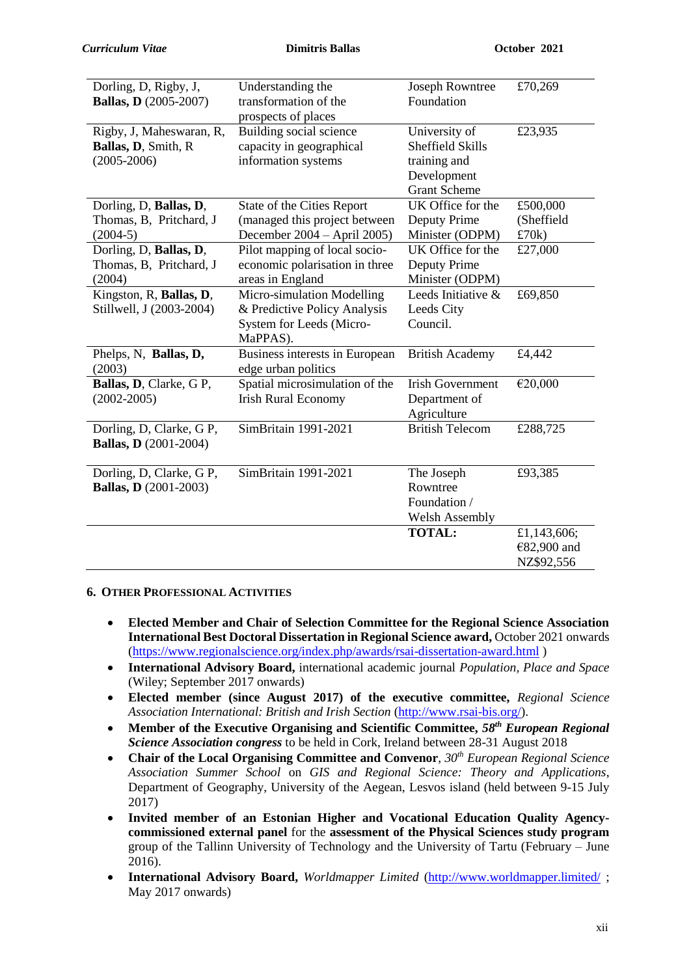| Dorling, D, Rigby, J,<br><b>Ballas, D</b> (2005-2007)              | Understanding the<br>transformation of the<br>prospects of places                                  | <b>Joseph Rowntree</b><br>Foundation                                                           | £70,269                                  |
|--------------------------------------------------------------------|----------------------------------------------------------------------------------------------------|------------------------------------------------------------------------------------------------|------------------------------------------|
| Rigby, J, Maheswaran, R,<br>Ballas, D, Smith, R<br>$(2005 - 2006)$ | Building social science<br>capacity in geographical<br>information systems                         | University of<br><b>Sheffield Skills</b><br>training and<br>Development<br><b>Grant Scheme</b> | £23,935                                  |
| Dorling, D, Ballas, D,<br>Thomas, B, Pritchard, J<br>$(2004-5)$    | State of the Cities Report<br>(managed this project between<br>December 2004 - April 2005)         | $\overline{UK}$ Office for the<br>Deputy Prime<br>Minister (ODPM)                              | £500,000<br>(Sheffield<br>£70k)          |
| Dorling, D, Ballas, D,<br>Thomas, B, Pritchard, J<br>(2004)        | Pilot mapping of local socio-<br>economic polarisation in three<br>areas in England                | UK Office for the<br>Deputy Prime<br>Minister (ODPM)                                           | £27,000                                  |
| Kingston, R, Ballas, D,<br>Stillwell, J (2003-2004)                | Micro-simulation Modelling<br>& Predictive Policy Analysis<br>System for Leeds (Micro-<br>MaPPAS). | Leeds Initiative &<br>Leeds City<br>Council.                                                   | £69,850                                  |
| Phelps, N, Ballas, D,<br>(2003)                                    | Business interests in European<br>edge urban politics                                              | <b>British Academy</b>                                                                         | £4,442                                   |
| Ballas, D, Clarke, G P,<br>$(2002 - 2005)$                         | Spatial microsimulation of the<br><b>Irish Rural Economy</b>                                       | <b>Irish Government</b><br>Department of<br>Agriculture                                        | €20,000                                  |
| Dorling, D, Clarke, G P,<br><b>Ballas, D</b> (2001-2004)           | SimBritain 1991-2021                                                                               | <b>British Telecom</b>                                                                         | £288,725                                 |
| Dorling, D, Clarke, G P,<br><b>Ballas, D</b> (2001-2003)           | SimBritain 1991-2021                                                                               | The Joseph<br>Rowntree<br>Foundation /<br><b>Welsh Assembly</b>                                | £93,385                                  |
|                                                                    |                                                                                                    | <b>TOTAL:</b>                                                                                  | £1,143,606;<br>€82,900 and<br>NZ\$92,556 |

### **6. OTHER PROFESSIONAL ACTIVITIES**

- **Elected Member and Chair of Selection Committee for the Regional Science Association International Best Doctoral Dissertation in Regional Science award,** October 2021 onwards [\(https://www.regionalscience.org/index.php/awards/rsai-dissertation-award.html](https://www.regionalscience.org/index.php/awards/rsai-dissertation-award.html) )
- **International Advisory Board,** international academic journal *Population, Place and Space* (Wiley; September 2017 onwards)
- **Elected member (since August 2017) of the executive committee,** *Regional Science Association International: British and Irish Section* [\(http://www.rsai-bis.org/\)](http://www.rsai-bis.org/).
- **Member of the Executive Organising and Scientific Committee,** *58th European Regional Science Association congress* to be held in Cork, Ireland between 28-31 August 2018
- **Chair of the Local Organising Committee and Convenor**, *30th European Regional Science Association Summer School* on *GIS and Regional Science: Theory and Applications*, Department of Geography, University of the Aegean, Lesvos island (held between 9-15 July 2017)
- **Invited member of an Estonian Higher and Vocational Education Quality Agencycommissioned external panel** for the **assessment of the Physical Sciences study program** group of the Tallinn University of Technology and the University of Tartu (February – June 2016).
- **International Advisory Board,** *Worldmapper Limited* [\(http://www.worldmapper.limited/](http://www.worldmapper.limited/) ; May 2017 onwards)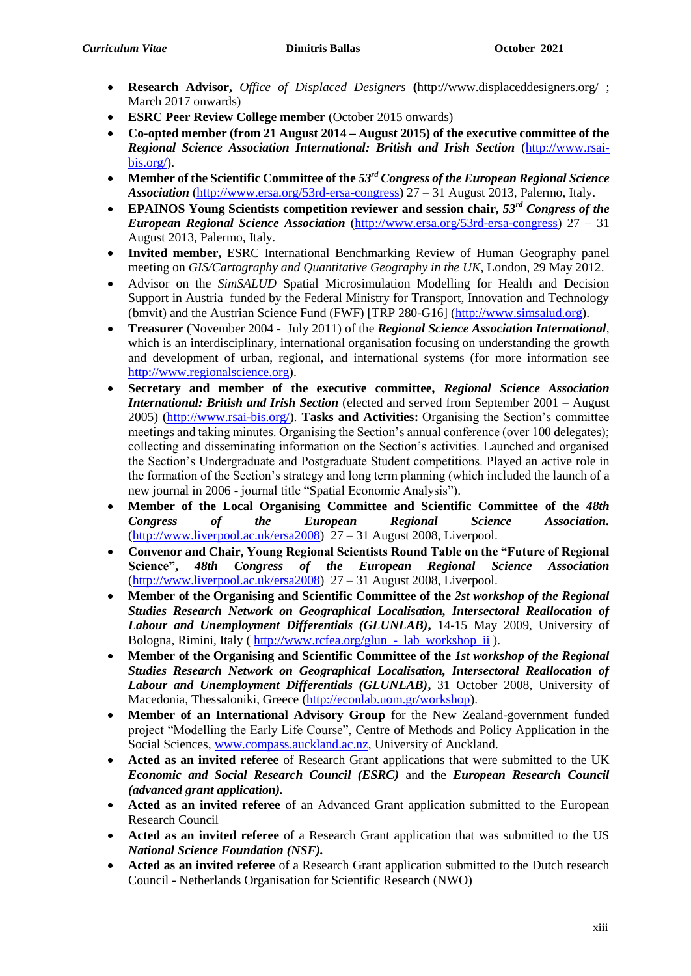- **Research Advisor,** *Office of Displaced Designers* **(**http://www.displaceddesigners.org/ ; March 2017 onwards)
- **ESRC Peer Review College member** (October 2015 onwards)
- **Co-opted member (from 21 August 2014 – August 2015) of the executive committee of the**  *Regional Science Association International: British and Irish Section* [\(http://www.rsai](http://www.rsai-bis.org/)[bis.org/\)](http://www.rsai-bis.org/).
- **Member of the Scientific Committee of the** *53rd Congress of the European Regional Science Association* [\(http://www.ersa.org/53rd-ersa-congress\)](http://www.ersa.org/53rd-ersa-congress) 27 – 31 August 2013, Palermo, Italy.
- **EPAINOS Young Scientists competition reviewer and session chair,** *53rd Congress of the European Regional Science Association* [\(http://www.ersa.org/53rd-ersa-congress\)](http://www.ersa.org/53rd-ersa-congress) 27 – 31 August 2013, Palermo, Italy.
- **Invited member,** ESRC International Benchmarking Review of Human Geography panel meeting on *GIS/Cartography and Quantitative Geography in the UK*, London, 29 May 2012.
- Advisor on the *SimSALUD* Spatial Microsimulation Modelling for Health and Decision Support in Austria funded by the Federal Ministry for Transport, Innovation and Technology (bmvit) and the Austrian Science Fund (FWF) [TRP 280-G16] [\(http://www.simsalud.org\)](http://www.simsalud.org/).
- **Treasurer** (November 2004 July 2011) of the *Regional Science Association International*, which is an interdisciplinary, international organisation focusing on understanding the growth and development of urban, regional, and international systems (for more information see [http://www.regionalscience.org\)](http://www.regionalscience.org/).
- **Secretary and member of the executive committee,** *Regional Science Association International: British and Irish Section* (elected and served from September 2001 – August 2005) [\(http://www.rsai-bis.org/\)](http://www.rsai-bis.org/). **Tasks and Activities:** Organising the Section's committee meetings and taking minutes. Organising the Section's annual conference (over 100 delegates); collecting and disseminating information on the Section's activities. Launched and organised the Section's Undergraduate and Postgraduate Student competitions. Played an active role in the formation of the Section's strategy and long term planning (which included the launch of a new journal in 2006 - journal title "Spatial Economic Analysis").
- **Member of the Local Organising Committee and Scientific Committee of the** *48th Congress of the European Regional Science Association.* [\(http://www.liverpool.ac.uk/ersa2008\)](http://www.liverpool.ac.uk/ersa2008) 27 – 31 August 2008, Liverpool.
- **Convenor and Chair, Young Regional Scientists Round Table on the "Future of Regional Science",** *48th Congress of the European Regional Science Association* [\(http://www.liverpool.ac.uk/ersa2008\)](http://www.liverpool.ac.uk/ersa2008) 27 – 31 August 2008, Liverpool.
- **Member of the Organising and Scientific Committee of the** *2st workshop of the Regional Studies Research Network on Geographical Localisation, Intersectoral Reallocation of Labour and Unemployment Differentials (GLUNLAB)***,** 14-15 May 2009, University of Bologna, Rimini, Italy ( [http://www.rcfea.org/glun\\_-\\_lab\\_workshop\\_ii](http://www.rcfea.org/glun_-_lab_workshop_ii) ).
- **Member of the Organising and Scientific Committee of the** *1st workshop of the Regional Studies Research Network on Geographical Localisation, Intersectoral Reallocation of Labour and Unemployment Differentials (GLUNLAB)***,** 31 October 2008, University of Macedonia, Thessaloniki, Greece [\(http://econlab.uom.gr/workshop\)](http://econlab.uom.gr/workshop).
- **Member of an International Advisory Group** for the New Zealand-government funded project "Modelling the Early Life Course", Centre of Methods and Policy Application in the Social Sciences, [www.compass.auckland.ac.nz,](http://www.compass.auckland.ac.nz/) University of Auckland.
- **Acted as an invited referee** of Research Grant applications that were submitted to the UK *Economic and Social Research Council (ESRC)* and the *European Research Council (advanced grant application).*
- **Acted as an invited referee** of an Advanced Grant application submitted to the European Research Council
- **Acted as an invited referee** of a Research Grant application that was submitted to the US *National Science Foundation (NSF).*
- **Acted as an invited referee** of a Research Grant application submitted to the Dutch research Council - Netherlands Organisation for Scientific Research (NWO)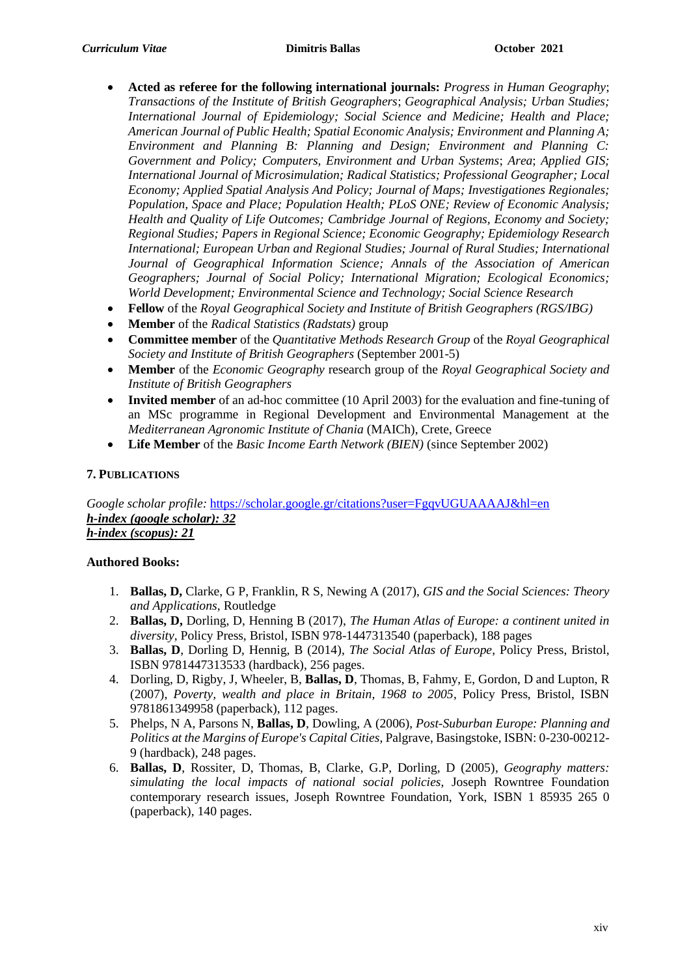- **Acted as referee for the following international journals:** *Progress in Human Geography*; *Transactions of the Institute of British Geographers*; *Geographical Analysis; Urban Studies; International Journal of Epidemiology; Social Science and Medicine; Health and Place; American Journal of Public Health; Spatial Economic Analysis; Environment and Planning A; Environment and Planning B: Planning and Design; Environment and Planning C: Government and Policy; Computers, Environment and Urban Systems*; *Area*; *Applied GIS; International Journal of Microsimulation; Radical Statistics; Professional Geographer; Local Economy; Applied Spatial Analysis And Policy; Journal of Maps; Investigationes Regionales; Population, Space and Place; Population Health; PLoS ONE; Review of Economic Analysis; Health and Quality of Life Outcomes; Cambridge Journal of Regions, Economy and Society; Regional Studies; Papers in Regional Science; Economic Geography; Epidemiology Research International; European Urban and Regional Studies; Journal of Rural Studies; International Journal of Geographical Information Science; Annals of the Association of American Geographers; Journal of Social Policy; International Migration; Ecological Economics; World Development; Environmental Science and Technology; Social Science Research*
- **Fellow** of the *Royal Geographical Society and Institute of British Geographers (RGS/IBG)*
- **Member** of the *Radical Statistics (Radstats)* group
- **Committee member** of the *Quantitative Methods Research Group* of the *Royal Geographical Society and Institute of British Geographers* (September 2001-5)
- **Member** of the *Economic Geography* research group of the *Royal Geographical Society and Institute of British Geographers*
- **Invited member** of an ad-hoc committee (10 April 2003) for the evaluation and fine-tuning of an MSc programme in Regional Development and Environmental Management at the *Mediterranean Agronomic Institute of Chania* (MAICh), Crete, Greece
- **Life Member** of the *Basic Income Earth Network (BIEN)* (since September 2002)

## **7. PUBLICATIONS**

*Google scholar profile:* <https://scholar.google.gr/citations?user=FgqvUGUAAAAJ&hl=en> *h-index (google scholar): 32 h-index (scopus): 21*

### **Authored Books:**

- 1. **Ballas, D,** Clarke, G P, Franklin, R S, Newing A (2017), *GIS and the Social Sciences: Theory and Applications*, Routledge
- 2. **Ballas, D,** Dorling, D, Henning B (2017), *The Human Atlas of Europe: a continent united in diversity*, Policy Press, Bristol, ISBN 978-1447313540 (paperback), 188 pages
- 3. **Ballas, D**, Dorling D, Hennig, B (2014), *The Social Atlas of Europe*, Policy Press, Bristol, ISBN 9781447313533 (hardback), 256 pages.
- 4. Dorling, D, Rigby, J, Wheeler, B, **Ballas, D**, Thomas, B, Fahmy, E, Gordon, D and Lupton, R (2007), *Poverty, wealth and place in Britain, 1968 to 2005*, Policy Press, Bristol, ISBN 9781861349958 (paperback), 112 pages.
- 5. Phelps, N A, Parsons N, **Ballas, D**, Dowling, A (2006), *Post-Suburban Europe: Planning and Politics at the Margins of Europe's Capital Cities*, Palgrave, Basingstoke, ISBN: 0-230-00212- 9 (hardback), 248 pages.
- 6. **Ballas, D**, Rossiter, D, Thomas, B, Clarke, G.P, Dorling, D (2005), *Geography matters: simulating the local impacts of national social policies*, Joseph Rowntree Foundation contemporary research issues, Joseph Rowntree Foundation, York, ISBN 1 85935 265 0 (paperback), 140 pages.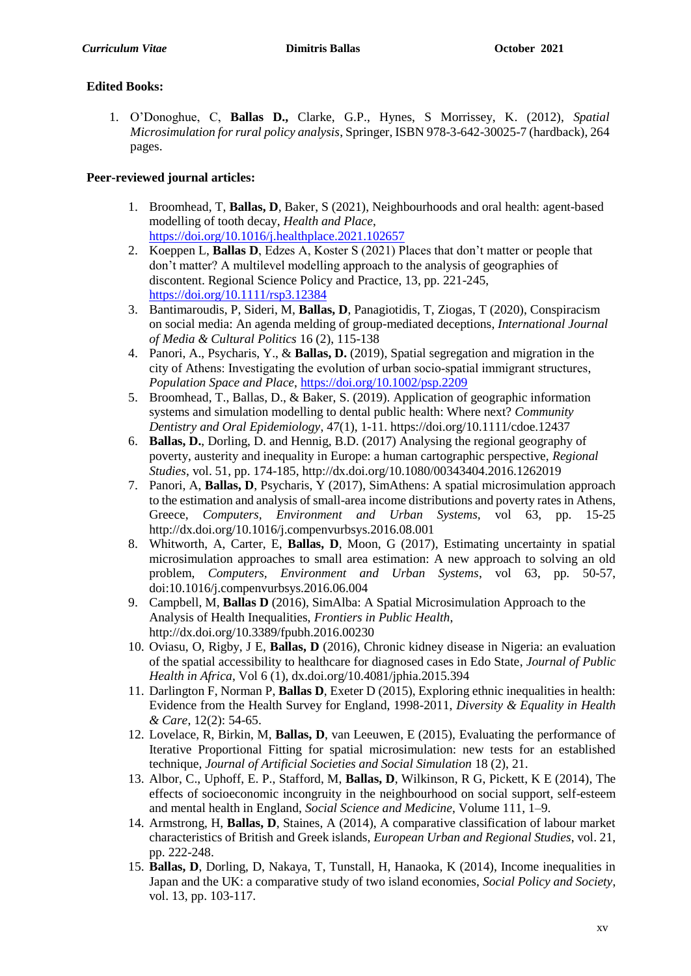# **Edited Books:**

1. O'Donoghue, C, **Ballas D.,** Clarke, G.P., Hynes, S Morrissey, K. (2012), *Spatial Microsimulation for rural policy analysis*, Springer, ISBN 978-3-642-30025-7 (hardback), 264 pages.

# **Peer-reviewed journal articles:**

- 1. Broomhead, T, **Ballas, D**, Baker, S (2021), Neighbourhoods and oral health: agent-based modelling of tooth decay, *Health and Place*, <https://doi.org/10.1016/j.healthplace.2021.102657>
- 2. Koeppen L, **Ballas D**, Edzes A, Koster S (2021) Places that don't matter or people that don't matter? A multilevel modelling approach to the analysis of geographies of discontent. Regional Science Policy and Practice, 13, pp. 221-245, <https://doi.org/10.1111/rsp3.12384>
- 3. Bantimaroudis, P, Sideri, M, **Ballas, D**, Panagiotidis, T, Ziogas, T (2020), Conspiracism on social media: An agenda melding of group-mediated deceptions, *International Journal of Media & Cultural Politics* 16 (2), 115-138
- 4. Panori, A., Psycharis, Y., & **Ballas, D.** (2019), Spatial segregation and migration in the city of Athens: Investigating the evolution of urban socio‐spatial immigrant structures, *Population Space and Place*, <https://doi.org/10.1002/psp.2209>
- 5. Broomhead, T., Ballas, D., & Baker, S. (2019). Application of geographic information systems and simulation modelling to dental public health: Where next? *Community Dentistry and Oral Epidemiology*, 47(1), 1-11. https://doi.org/10.1111/cdoe.12437
- 6. **Ballas, D.**, Dorling, D. and Hennig, B.D. (2017) Analysing the regional geography of poverty, austerity and inequality in Europe: a human cartographic perspective, *Regional Studies*, vol. 51, pp. 174-185, http://dx.doi.org/10.1080/00343404.2016.1262019
- 7. Panori, A, **Ballas, D**, Psycharis, Y (2017), SimAthens: A spatial microsimulation approach to the estimation and analysis of small-area income distributions and poverty rates in Athens, Greece, *Computers, Environment and Urban Systems,* vol 63, pp. 15-25 http://dx.doi.org/10.1016/j.compenvurbsys.2016.08.001
- 8. Whitworth, A, Carter, E, **Ballas, D**, Moon, G (2017), Estimating uncertainty in spatial microsimulation approaches to small area estimation: A new approach to solving an old problem, *Computers, Environment and Urban Systems*, vol 63, pp. 50-57, doi:10.1016/j.compenvurbsys.2016.06.004
- 9. Campbell, M, **Ballas D** (2016), SimAlba: A Spatial Microsimulation Approach to the Analysis of Health Inequalities, *Frontiers in Public Health*, http://dx.doi.org/10.3389/fpubh.2016.00230
- 10. Oviasu, O, Rigby, J E, **Ballas, D** (2016), Chronic kidney disease in Nigeria: an evaluation of the spatial accessibility to healthcare for diagnosed cases in Edo State, *Journal of Public Health in Africa*, Vol 6 (1), dx.doi.org/10.4081/jphia.2015.394
- 11. Darlington F, Norman P, **Ballas D**, Exeter D (2015), Exploring ethnic inequalities in health: Evidence from the Health Survey for England, 1998-2011, *Diversity & Equality in Health & Care*, 12(2): 54-65.
- 12. Lovelace, R, Birkin, M, **Ballas, D**, van Leeuwen, E (2015), Evaluating the performance of Iterative Proportional Fitting for spatial microsimulation: new tests for an established technique, *Journal of Artificial Societies and Social Simulation* 18 (2), 21.
- 13. Albor, C., Uphoff, E. P., Stafford, M, **Ballas, D**, Wilkinson, R G, Pickett, K E (2014), The effects of socioeconomic incongruity in the neighbourhood on social support, self-esteem and mental health in England, *Social Science and Medicine*, Volume 111, 1–9.
- 14. Armstrong, H, **Ballas, D**, Staines, A (2014), A comparative classification of labour market characteristics of British and Greek islands, *European Urban and Regional Studies*, vol. 21, pp. 222-248.
- 15. **Ballas, D**, Dorling, D, Nakaya, T, Tunstall, H, Hanaoka, K (2014), Income inequalities in Japan and the UK: a comparative study of two island economies, *Social Policy and Society*, vol. 13, pp. 103-117.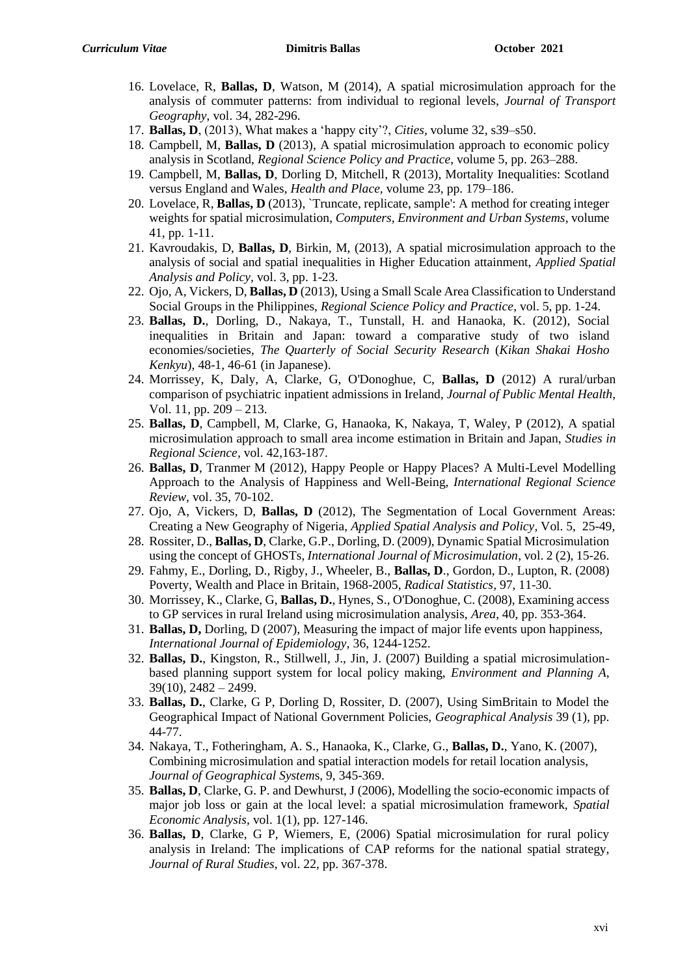- 16. Lovelace, R, **Ballas, D**, Watson, M (2014), A spatial microsimulation approach for the analysis of commuter patterns: from individual to regional levels, *Journal of Transport Geography*, vol. 34, 282-296.
- 17. **Ballas, D**, (2013), What makes a 'happy city'?, *Cities,* volume 32, s39–s50.
- 18. Campbell, M, **Ballas, D** (2013), A spatial microsimulation approach to economic policy analysis in Scotland, *Regional Science Policy and Practice*, volume 5, pp. 263–288.
- 19. Campbell, M, **Ballas, D**, Dorling D, Mitchell, R (2013), Mortality Inequalities: Scotland versus England and Wales, *Health and Place,* volume 23, pp. 179–186.
- 20. Lovelace, R, **Ballas, D** (2013), `Truncate, replicate, sample': A method for creating integer weights for spatial microsimulation, *Computers, Environment and Urban Systems*, volume 41, pp. 1-11.
- 21. Kavroudakis, D, **Ballas, D**, Birkin, M, (2013), A spatial microsimulation approach to the analysis of social and spatial inequalities in Higher Education attainment, *Applied Spatial Analysis and Policy,* vol. 3, pp. 1-23.
- 22. Ojo, A, Vickers, D, **Ballas, D** (2013), Using a Small Scale Area Classification to Understand Social Groups in the Philippines, *Regional Science Policy and Practice*, vol. 5, pp. 1-24.
- 23. **Ballas, D.**, Dorling, D., Nakaya, T., Tunstall, H. and Hanaoka, K. (2012), Social inequalities in Britain and Japan: toward a comparative study of two island economies/societies, *The Quarterly of Social Security Research* (*Kikan Shakai Hosho Kenkyu*), 48-1, 46-61 (in Japanese).
- 24. Morrissey, K, Daly, A, Clarke, G, O'Donoghue, C, **Ballas, D** (2012) A rural/urban comparison of psychiatric inpatient admissions in Ireland, *Journal of Public Mental Health*, Vol. 11, pp. 209 – 213.
- 25. **Ballas, D**, Campbell, M, Clarke, G, Hanaoka, K, Nakaya, T, Waley, P (2012), A spatial microsimulation approach to small area income estimation in Britain and Japan, *Studies in Regional Science,* vol. 42,163-187.
- 26. **Ballas, D**, Tranmer M (2012), Happy People or Happy Places? A Multi-Level Modelling Approach to the Analysis of Happiness and Well-Being, *International Regional Science Review,* vol. 35, 70-102.
- 27. Ojo, A, Vickers, D, **Ballas, D** (2012), The Segmentation of Local Government Areas: Creating a New Geography of Nigeria, *Applied Spatial Analysis and Policy,* Vol. 5, 25-49,
- 28. Rossiter, D., **Ballas, D**, Clarke, G.P., Dorling, D. (2009), Dynamic Spatial Microsimulation using the concept of GHOSTs, *International Journal of Microsimulation*, vol. 2 (2), 15-26.
- 29. Fahmy, E., Dorling, D., Rigby, J., Wheeler, B., **Ballas, D**., Gordon, D., Lupton, R. (2008) Poverty, Wealth and Place in Britain, 1968-2005, *Radical Statistics,* 97, 11-30.
- 30. Morrissey, K., Clarke, G, **Ballas, D.**, Hynes, S., O'Donoghue, C. (2008), Examining access to GP services in rural Ireland using microsimulation analysis, *Area*, 40, pp. 353-364.
- 31. **Ballas, D,** Dorling, D (2007), Measuring the impact of major life events upon happiness, *International Journal of Epidemiology,* 36, 1244-1252.
- 32. **Ballas, D.**, Kingston, R., Stillwell, J., Jin, J. (2007) Building a spatial microsimulationbased planning support system for local policy making, *Environment and Planning A*,  $39(10)$ ,  $2482 - 2499$ .
- 33. **Ballas, D.**, Clarke, G P, Dorling D, Rossiter, D. (2007), Using SimBritain to Model the Geographical Impact of National Government Policies, *Geographical Analysis* 39 (1), pp. 44-77.
- 34. Nakaya, T., Fotheringham, A. S., Hanaoka, K., Clarke, G., **Ballas, D.**, Yano, K. (2007), Combining microsimulation and spatial interaction models for retail location analysis, *Journal of Geographical System*s, 9, 345-369.
- 35. **Ballas, D**, Clarke, G. P. and Dewhurst, J (2006), Modelling the socio-economic impacts of major job loss or gain at the local level: a spatial microsimulation framework, *Spatial Economic Analysis,* vol. 1(1), pp. 127-146.
- 36. **Ballas, D**, Clarke, G P, Wiemers, E, (2006) Spatial microsimulation for rural policy analysis in Ireland: The implications of CAP reforms for the national spatial strategy, *Journal of Rural Studies*, vol. 22, pp. 367-378.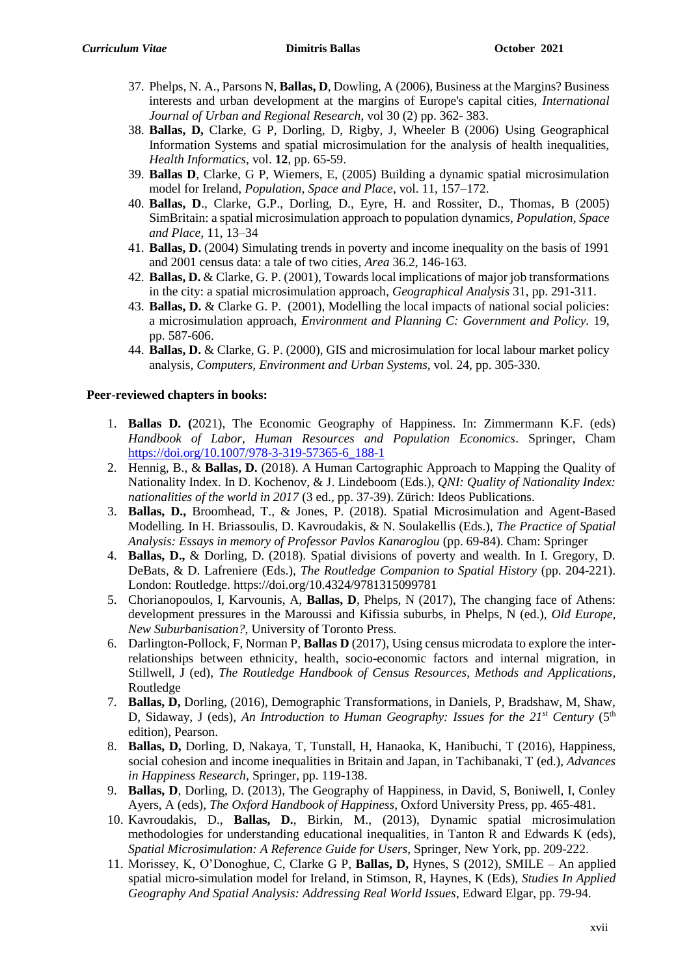- 37. Phelps, N. A., Parsons N, **Ballas, D**, Dowling, A (2006), Business at the Margins? Business interests and urban development at the margins of Europe's capital cities, *International Journal of Urban and Regional Research*, vol 30 (2) pp. 362- 383.
- 38. **Ballas, D,** Clarke, G P, Dorling, D, Rigby, J, Wheeler B (2006) Using Geographical Information Systems and spatial microsimulation for the analysis of health inequalities, *Health Informatics*, vol. **12**, pp. 65-59.
- 39. **Ballas D**, Clarke, G P, Wiemers, E, (2005) Building a dynamic spatial microsimulation model for Ireland, *Population, Space and Place*, vol. 11, 157–172.
- 40. **Ballas, D**., Clarke, G.P., Dorling, D., Eyre, H. and Rossiter, D., Thomas, B (2005) SimBritain: a spatial microsimulation approach to population dynamics, *Population, Space and Place,* 11, 13–34
- 41. **Ballas, D.** (2004) Simulating trends in poverty and income inequality on the basis of 1991 and 2001 census data: a tale of two cities, *Area* 36.2, 146-163.
- 42. **Ballas, D.** & Clarke, G. P. (2001), Towards local implications of major job transformations in the city: a spatial microsimulation approach, *Geographical Analysis* 31, pp. 291-311.
- 43. **Ballas, D.** & Clarke G. P. (2001), Modelling the local impacts of national social policies: a microsimulation approach, *Environment and Planning C: Government and Policy.* 19, pp. 587-606.
- 44. **Ballas, D.** & Clarke, G. P. (2000), GIS and microsimulation for local labour market policy analysis*, Computers, Environment and Urban Systems*, vol. 24, pp. 305-330.

### **Peer-reviewed chapters in books:**

- 1. **Ballas D. (**2021), The Economic Geography of Happiness. In: Zimmermann K.F. (eds) *Handbook of Labor, Human Resources and Population Economics*. Springer, Cham [https://doi.org/10.1007/978-3-319-57365-6\\_188-1](https://doi.org/10.1007/978-3-319-57365-6_188-1)
- 2. Hennig, B., & **Ballas, D.** (2018). A Human Cartographic Approach to Mapping the Quality of Nationality Index. In D. Kochenov, & J. Lindeboom (Eds.), *QNI: Quality of Nationality Index: nationalities of the world in 2017* (3 ed., pp. 37-39). Zürich: Ideos Publications.
- 3. **Ballas, D.,** Broomhead, T., & Jones, P. (2018). Spatial Microsimulation and Agent-Based Modelling. In H. Briassoulis, D. Kavroudakis, & N. Soulakellis (Eds.), *The Practice of Spatial Analysis: Essays in memory of Professor Pavlos Kanaroglou* (pp. 69-84). Cham: Springer
- 4. **Ballas, D.,** & Dorling, D. (2018). Spatial divisions of poverty and wealth. In I. Gregory, D. DeBats, & D. Lafreniere (Eds.), *The Routledge Companion to Spatial History* (pp. 204-221). London: Routledge. https://doi.org/10.4324/9781315099781
- 5. Chorianopoulos, I, Karvounis, A, **Ballas, D**, Phelps, N (2017), The changing face of Athens: development pressures in the Maroussi and Kifissia suburbs, in Phelps, N (ed.), *Old Europe, New Suburbanisation?*, University of Toronto Press.
- 6. Darlington-Pollock, F, Norman P, **Ballas D** (2017), Using census microdata to explore the interrelationships between ethnicity, health, socio-economic factors and internal migration, in Stillwell, J (ed), *The Routledge Handbook of Census Resources, Methods and Applications*, Routledge
- 7. **Ballas, D,** Dorling, (2016), Demographic Transformations, in Daniels, P, Bradshaw, M, Shaw, D, Sidaway, J (eds), An Introduction to Human Geography: Issues for the  $21^{st}$  Century ( $5^{th}$ edition), Pearson.
- 8. **Ballas, D,** Dorling, D, Nakaya, T, Tunstall, H, Hanaoka, K, Hanibuchi, T (2016), Happiness, social cohesion and income inequalities in Britain and Japan, in Tachibanaki, T (ed.), *Advances in Happiness Research,* Springer*,* pp. 119-138.
- 9. **Ballas, D**, Dorling, D. (2013), The Geography of Happiness, in David, S, Boniwell, I, Conley Ayers, A (eds), *The Oxford Handbook of Happiness*, Oxford University Press, pp. 465-481.
- 10. Kavroudakis, D., **Ballas, D.**, Birkin, M., (2013), Dynamic spatial microsimulation methodologies for understanding educational inequalities, in Tanton R and Edwards K (eds), *Spatial Microsimulation: A Reference Guide for Users*, Springer, New York, pp. 209-222.
- 11. Morissey, K, O'Donoghue, C, Clarke G P, **Ballas, D,** Hynes, S (2012), SMILE An applied spatial micro-simulation model for Ireland, in Stimson, R, Haynes, K (Eds), *Studies In Applied Geography And Spatial Analysis: Addressing Real World Issues*, Edward Elgar, pp. 79-94.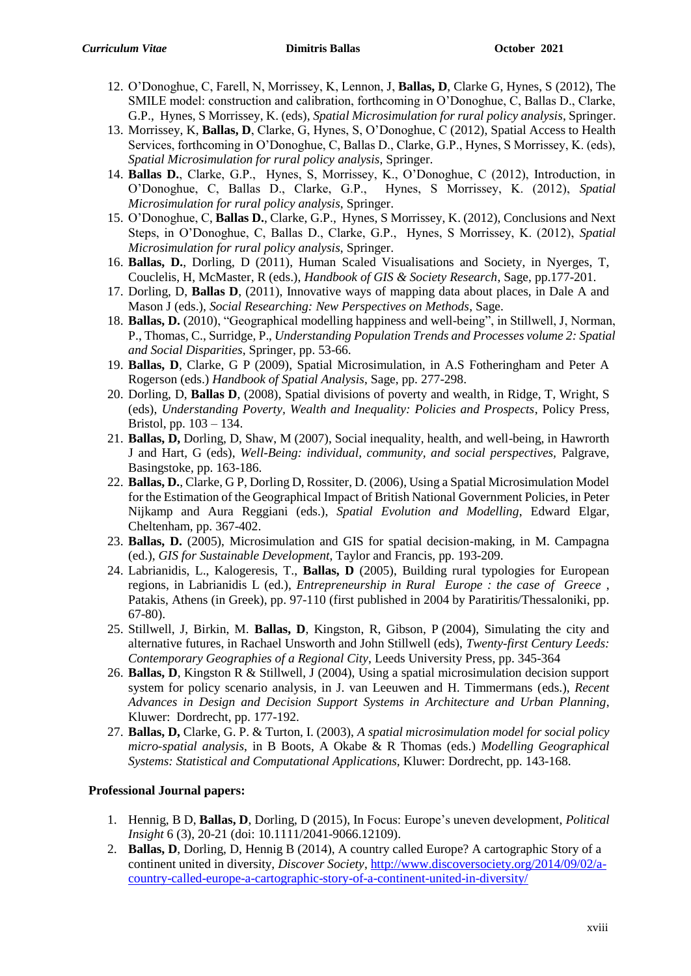- 12. O'Donoghue, C, Farell, N, Morrissey, K, Lennon, J, **Ballas, D**, Clarke G, Hynes, S (2012), The SMILE model: construction and calibration, forthcoming in O'Donoghue, C, Ballas D., Clarke, G.P., Hynes, S Morrissey, K. (eds), *Spatial Microsimulation for rural policy analysis*, Springer.
- 13. Morrissey, K, **Ballas, D**, Clarke, G, Hynes, S, O'Donoghue, C (2012), Spatial Access to Health Services, forthcoming in O'Donoghue, C, Ballas D., Clarke, G.P., Hynes, S Morrissey, K. (eds), *Spatial Microsimulation for rural policy analysis*, Springer.
- 14. **Ballas D.**, Clarke, G.P., Hynes, S, Morrissey, K., O'Donoghue, C (2012), Introduction, in O'Donoghue, C, Ballas D., Clarke, G.P., Hynes, S Morrissey, K. (2012), *Spatial Microsimulation for rural policy analysis*, Springer.
- 15. O'Donoghue, C, **Ballas D.**, Clarke, G.P., Hynes, S Morrissey, K. (2012), Conclusions and Next Steps, in O'Donoghue, C, Ballas D., Clarke, G.P., Hynes, S Morrissey, K. (2012), *Spatial Microsimulation for rural policy analysis*, Springer.
- 16. **Ballas, D.**, Dorling, D (2011), Human Scaled Visualisations and Society, in Nyerges, T, Couclelis, H, McMaster, R (eds.), *Handbook of GIS & Society Research*, Sage, pp.177-201.
- 17. Dorling, D, **Ballas D**, (2011), Innovative ways of mapping data about places, in Dale A and Mason J (eds.), *Social Researching: New Perspectives on Methods*, Sage.
- 18. **Ballas, D.** (2010), "Geographical modelling happiness and well-being", in Stillwell, J, Norman, P., Thomas, C., Surridge, P., *Understanding Population Trends and Processes volume 2: Spatial and Social Disparities*, Springer, pp. 53-66.
- 19. **Ballas, D**, Clarke, G P (2009), Spatial Microsimulation, in A.S Fotheringham and Peter A Rogerson (eds.) *Handbook of Spatial Analysis*, Sage, pp. 277-298.
- 20. Dorling, D, **Ballas D**, (2008), Spatial divisions of poverty and wealth, in Ridge, T, Wright, S (eds), *Understanding Poverty, Wealth and Inequality: Policies and Prospects*, Policy Press, Bristol, pp. 103 – 134.
- 21. **Ballas, D,** Dorling, D, Shaw, M (2007), Social inequality, health, and well-being, in Hawrorth J and Hart, G (eds), *Well-Being: individual, community, and social perspectives,* Palgrave, Basingstoke, pp. 163-186.
- 22. **Ballas, D.**, Clarke, G P, Dorling D, Rossiter, D. (2006), Using a Spatial Microsimulation Model for the Estimation of the Geographical Impact of British National Government Policies, in Peter Nijkamp and Aura Reggiani (eds.), *Spatial Evolution and Modelling*, Edward Elgar, Cheltenham, pp. 367-402.
- 23. **Ballas, D.** (2005), Microsimulation and GIS for spatial decision-making, in M. Campagna (ed.), *GIS for Sustainable Development*, Taylor and Francis, pp. 193-209.
- 24. Labrianidis, L., Kalogeresis, T., **Ballas, D** (2005), Building rural typologies for European regions, in Labrianidis L (ed.), *Entrepreneurship in Rural Europe : the case of Greece* , Patakis, Athens (in Greek), pp. 97-110 (first published in 2004 by Paratiritis/Thessaloniki, pp. 67-80).
- 25. Stillwell, J, Birkin, M. **Ballas, D**, Kingston, R, Gibson, P (2004), Simulating the city and alternative futures, in Rachael Unsworth and John Stillwell (eds), *Twenty-first Century Leeds: Contemporary Geographies of a Regional City*, Leeds University Press, pp. 345-364
- 26. **Ballas, D**, Kingston R & Stillwell, J (2004), Using a spatial microsimulation decision support system for policy scenario analysis, in J. van Leeuwen and H. Timmermans (eds.), *Recent Advances in Design and Decision Support Systems in Architecture and Urban Planning*, Kluwer: Dordrecht, pp. 177-192.
- 27. **Ballas, D,** Clarke, G. P. & Turton, I. (2003), *A spatial microsimulation model for social policy micro-spatial analysis*, in B Boots, A Okabe & R Thomas (eds.) *Modelling Geographical Systems: Statistical and Computational Applications,* Kluwer: Dordrecht, pp. 143-168.

### **Professional Journal papers:**

- 1. Hennig, B D, **Ballas, D**, Dorling, D (2015), In Focus: Europe's uneven development, *Political Insight* 6 (3), 20-21 (doi: 10.1111/2041-9066.12109).
- 2. **Ballas, D**, Dorling, D, Hennig B (2014), A country called Europe? A cartographic Story of a continent united in diversity, *Discover Society*, [http://www.discoversociety.org/2014/09/02/a](http://www.discoversociety.org/2014/09/02/a-country-called-europe-a-cartographic-story-of-a-continent-united-in-diversity/)[country-called-europe-a-cartographic-story-of-a-continent-united-in-diversity/](http://www.discoversociety.org/2014/09/02/a-country-called-europe-a-cartographic-story-of-a-continent-united-in-diversity/)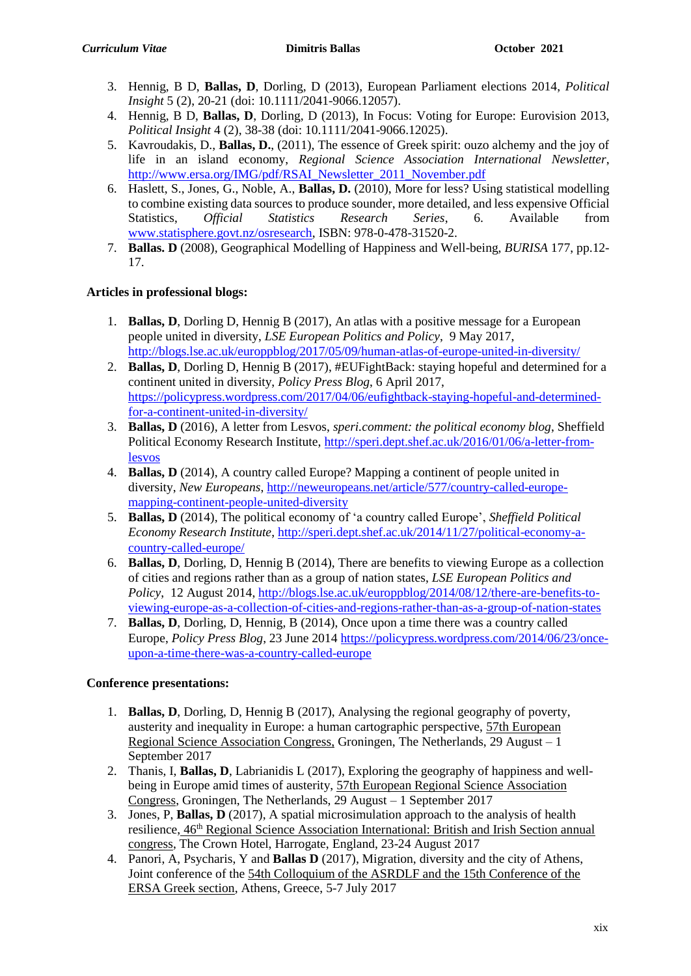- 3. Hennig, B D, **Ballas, D**, Dorling, D (2013), European Parliament elections 2014, *Political Insight* 5 (2), 20-21 (doi: 10.1111/2041-9066.12057).
- 4. Hennig, B D, **Ballas, D**, Dorling, D (2013), In Focus: Voting for Europe: Eurovision 2013, *Political Insight* 4 (2), 38-38 (doi: 10.1111/2041-9066.12025).
- 5. Kavroudakis, D., **Ballas, D.**, (2011), The essence of Greek spirit: ouzo alchemy and the joy of life in an island economy, *Regional Science Association International Newsletter*, [http://www.ersa.org/IMG/pdf/RSAI\\_Newsletter\\_2011\\_November.pdf](http://www.ersa.org/IMG/pdf/RSAI_Newsletter_2011_November.pdf)
- 6. Haslett, S., Jones, G., Noble, A., **Ballas, D.** (2010), More for less? Using statistical modelling to combine existing data sources to produce sounder, more detailed, and less expensive Official Statistics, *Official Statistics Research Series*, 6. Available from [www.statisphere.govt.nz/osresearch,](http://www.statisphere.govt.nz/osresearch) ISBN: 978-0-478-31520-2.
- 7. **Ballas. D** (2008), Geographical Modelling of Happiness and Well-being, *BURISA* 177, pp.12- 17.

# **Articles in professional blogs:**

- 1. **Ballas, D**, Dorling D, Hennig B (2017), An atlas with a positive message for a European people united in diversity, *LSE European Politics and Policy*, 9 May 2017, <http://blogs.lse.ac.uk/europpblog/2017/05/09/human-atlas-of-europe-united-in-diversity/>
- 2. **Ballas, D**, Dorling D, Hennig B (2017), #EUFightBack: staying hopeful and determined for a continent united in diversity, *Policy Press Blog*, 6 April 2017, [https://policypress.wordpress.com/2017/04/06/eufightback-staying-hopeful-and-determined](https://policypress.wordpress.com/2017/04/06/eufightback-staying-hopeful-and-determined-for-a-continent-united-in-diversity/)[for-a-continent-united-in-diversity/](https://policypress.wordpress.com/2017/04/06/eufightback-staying-hopeful-and-determined-for-a-continent-united-in-diversity/)
- 3. **Ballas, D** (2016), A letter from Lesvos, *speri.comment: the political economy blog*, Sheffield Political Economy Research Institute, [http://speri.dept.shef.ac.uk/2016/01/06/a-letter-from](http://speri.dept.shef.ac.uk/2016/01/06/a-letter-from-lesvos)[lesvos](http://speri.dept.shef.ac.uk/2016/01/06/a-letter-from-lesvos)
- 4. **Ballas, D** (2014), A country called Europe? Mapping a continent of people united in diversity, *New Europeans*, [http://neweuropeans.net/article/577/country-called-europe](http://neweuropeans.net/article/577/country-called-europe-mapping-continent-people-united-diversity)[mapping-continent-people-united-diversity](http://neweuropeans.net/article/577/country-called-europe-mapping-continent-people-united-diversity)
- 5. **Ballas, D** (2014), The political economy of 'a country called Europe', *Sheffield Political Economy Research Institute*, [http://speri.dept.shef.ac.uk/2014/11/27/political-economy-a](http://speri.dept.shef.ac.uk/2014/11/27/political-economy-a-country-called-europe/)[country-called-europe/](http://speri.dept.shef.ac.uk/2014/11/27/political-economy-a-country-called-europe/)
- 6. **Ballas, D**, Dorling, D, Hennig B (2014), There are benefits to viewing Europe as a collection of cities and regions rather than as a group of nation states, *LSE European Politics and Policy*, 12 August 2014[, http://blogs.lse.ac.uk/europpblog/2014/08/12/there-are-benefits-to](http://blogs.lse.ac.uk/europpblog/2014/08/12/there-are-benefits-to-viewing-europe-as-a-collection-of-cities-and-regions-rather-than-as-a-group-of-nation-states)[viewing-europe-as-a-collection-of-cities-and-regions-rather-than-as-a-group-of-nation-states](http://blogs.lse.ac.uk/europpblog/2014/08/12/there-are-benefits-to-viewing-europe-as-a-collection-of-cities-and-regions-rather-than-as-a-group-of-nation-states)
- 7. **Ballas, D**, Dorling, D, Hennig, B (2014), Once upon a time there was a country called Europe, *Policy Press Blog*, 23 June 201[4 https://policypress.wordpress.com/2014/06/23/once](https://policypress.wordpress.com/2014/06/23/once-upon-a-time-there-was-a-country-called-europe)[upon-a-time-there-was-a-country-called-europe](https://policypress.wordpress.com/2014/06/23/once-upon-a-time-there-was-a-country-called-europe)

# **Conference presentations:**

- 1. **Ballas, D**, Dorling, D, Hennig B (2017), Analysing the regional geography of poverty, austerity and inequality in Europe: a human cartographic perspective, 57th European Regional Science Association Congress, Groningen, The Netherlands, 29 August – 1 September 2017
- 2. Thanis, I, **Ballas, D**, Labrianidis L (2017), Exploring the geography of happiness and wellbeing in Europe amid times of austerity, 57th European Regional Science Association Congress, Groningen, The Netherlands, 29 August – 1 September 2017
- 3. Jones, P, **Ballas, D** (2017), A spatial microsimulation approach to the analysis of health resilience, 46th Regional Science Association International: British and Irish Section annual congress, The Crown Hotel, Harrogate, England, 23-24 August 2017
- 4. Panori, A, Psycharis, Y and **Ballas D** (2017), Migration, diversity and the city of Athens, Joint conference of the 54th Colloquium of the ASRDLF and the 15th Conference of the ERSA Greek section, Athens, Greece, 5-7 July 2017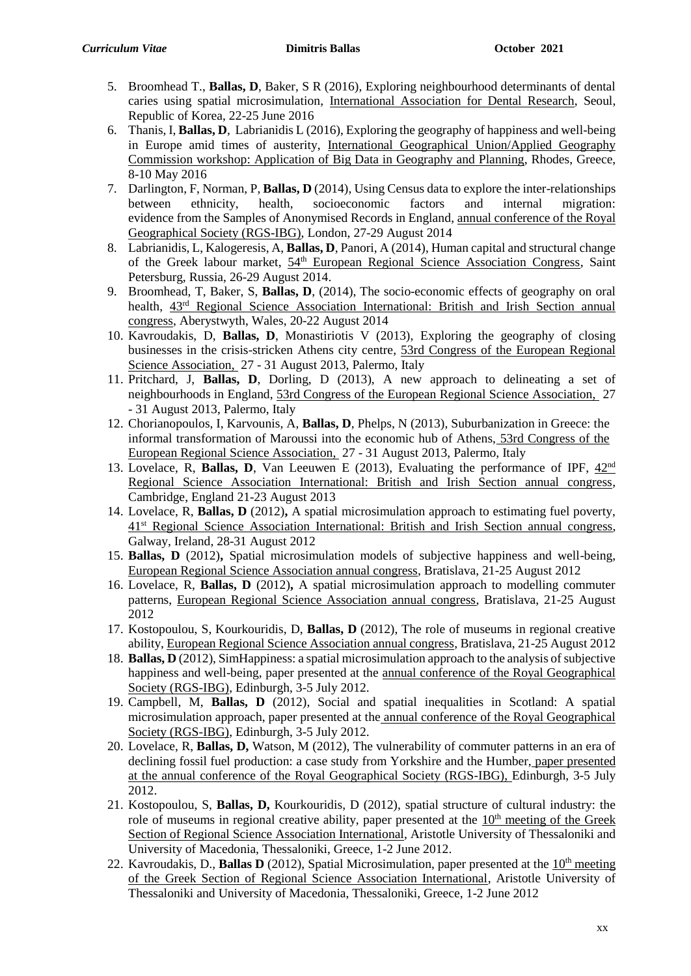- 5. Broomhead T., **Ballas, D**, Baker, S R (2016), Exploring neighbourhood determinants of dental caries using spatial microsimulation, International Association for Dental Research, Seoul, Republic of Korea, 22-25 June 2016
- 6. Thanis, I, **Ballas, D**, Labrianidis L (2016), Exploring the geography of happiness and well-being in Europe amid times of austerity, International Geographical Union/Applied Geography Commission workshop: Application of Big Data in Geography and Planning, Rhodes, Greece, 8-10 May 2016
- 7. Darlington, F, Norman, P, **Ballas, D** (2014), Using Census data to explore the inter-relationships between ethnicity, health, socioeconomic factors and internal migration: evidence from the Samples of Anonymised Records in England, annual conference of the Royal Geographical Society (RGS-IBG), London, 27-29 August 2014
- 8. Labrianidis, L, Kalogeresis, A, **Ballas, D**, Panori, A (2014), Human capital and structural change of the Greek labour market,  $54<sup>th</sup>$  European Regional Science Association Congress, Saint Petersburg, Russia, 26-29 August 2014.
- 9. Broomhead, T, Baker, S, **Ballas, D**, (2014), The socio-economic effects of geography on oral health, 43rd Regional Science Association International: British and Irish Section annual congress, Aberystwyth, Wales, 20-22 August 2014
- 10. Kavroudakis, D, **Ballas, D**, Monastiriotis V (2013), Exploring the geography of closing businesses in the crisis-stricken Athens city centre, 53rd Congress of the European Regional Science Association, 27 - 31 August 2013, Palermo, Italy
- 11. Pritchard, J, **Ballas, D**, Dorling, D (2013), A new approach to delineating a set of neighbourhoods in England, 53rd Congress of the European Regional Science Association, 27 - 31 August 2013, Palermo, Italy
- 12. Chorianopoulos, I, Karvounis, A, **Ballas, D**, Phelps, N (2013), Suburbanization in Greece: the informal transformation of Maroussi into the economic hub of Athens, 53rd Congress of the European Regional Science Association, 27 - 31 August 2013, Palermo, Italy
- 13. Lovelace, R, **Ballas, D**, Van Leeuwen E (2013), Evaluating the performance of IPF, 42nd Regional Science Association International: British and Irish Section annual congress, Cambridge, England 21-23 August 2013
- 14. Lovelace, R, **Ballas, D** (2012)**,** A spatial microsimulation approach to estimating fuel poverty, 41st Regional Science Association International: British and Irish Section annual congress, Galway, Ireland, 28-31 August 2012
- 15. **Ballas, D** (2012)**,** Spatial microsimulation models of subjective happiness and well-being, European Regional Science Association annual congress, Bratislava, 21-25 August 2012
- 16. Lovelace, R, **Ballas, D** (2012)**,** A spatial microsimulation approach to modelling commuter patterns, European Regional Science Association annual congress, Bratislava, 21-25 August 2012
- 17. Kostopoulou, S, Kourkouridis, D, **Ballas, D** (2012), The role of museums in regional creative ability, European Regional Science Association annual congress, Bratislava, 21-25 August 2012
- 18. **Ballas, D** (2012), SimHappiness: a spatial microsimulation approach to the analysis of subjective happiness and well-being, paper presented at the annual conference of the Royal Geographical Society (RGS-IBG), Edinburgh, 3-5 July 2012.
- 19. Campbell, M, **Ballas, D** (2012), Social and spatial inequalities in Scotland: A spatial microsimulation approach, paper presented at the annual conference of the Royal Geographical Society (RGS-IBG), Edinburgh, 3-5 July 2012.
- 20. Lovelace, R, **Ballas, D,** Watson, M (2012), The vulnerability of commuter patterns in an era of declining fossil fuel production: a case study from Yorkshire and the Humber, paper presented at the annual conference of the Royal Geographical Society (RGS-IBG), Edinburgh, 3-5 July 2012.
- 21. Kostopoulou, S, **Ballas, D,** Kourkouridis, D (2012), spatial structure of cultural industry: the role of museums in regional creative ability, paper presented at the  $10<sup>th</sup>$  meeting of the Greek Section of Regional Science Association International, Aristotle University of Thessaloniki and University of Macedonia, Thessaloniki, Greece, 1-2 June 2012.
- 22. Kavroudakis, D., **Ballas D** (2012), Spatial Microsimulation, paper presented at the 10<sup>th</sup> meeting of the Greek Section of Regional Science Association International, Aristotle University of Thessaloniki and University of Macedonia, Thessaloniki, Greece, 1-2 June 2012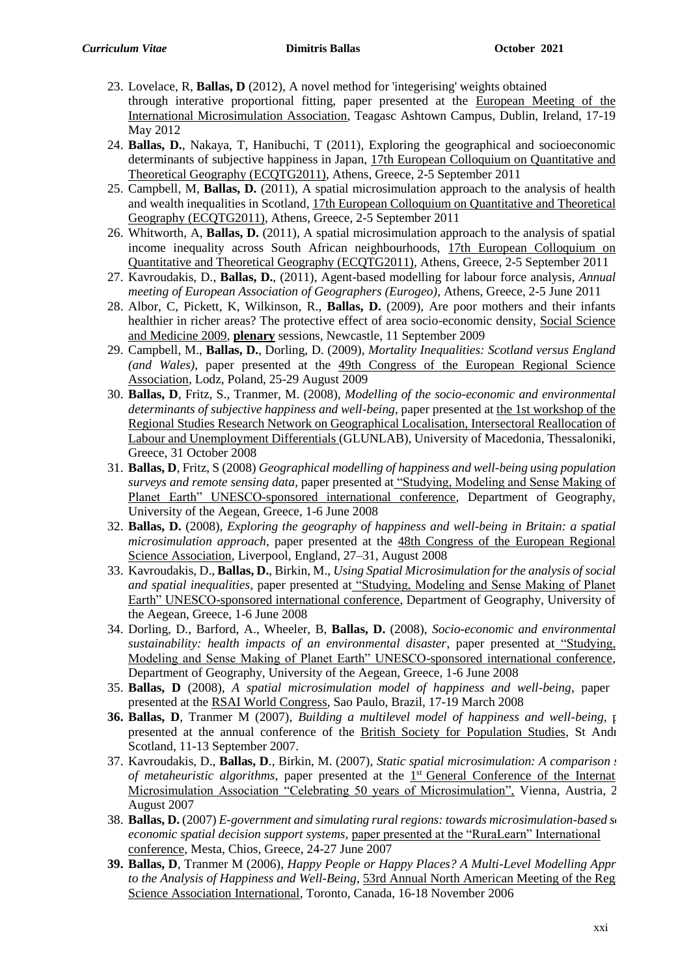- 23. Lovelace, R, **Ballas, D** (2012), A novel method for 'integerising' weights obtained through interative proportional fitting, paper presented at the European Meeting of the International Microsimulation Association, Teagasc Ashtown Campus, Dublin, Ireland, 17-19 May 2012
- 24. **Ballas, D.**, Nakaya, T, Hanibuchi, T (2011), Exploring the geographical and socioeconomic determinants of subjective happiness in Japan, 17th European Colloquium on Quantitative and Theoretical Geography (ECQTG2011), Athens, Greece, 2-5 September 2011
- 25. Campbell, M, **Ballas, D.** (2011), A spatial microsimulation approach to the analysis of health and wealth inequalities in Scotland, 17th European Colloquium on Quantitative and Theoretical Geography (ECQTG2011), Athens, Greece, 2-5 September 2011
- 26. Whitworth, A, **Ballas, D.** (2011), A spatial microsimulation approach to the analysis of spatial income inequality across South African neighbourhoods, 17th European Colloquium on Quantitative and Theoretical Geography (ECQTG2011), Athens, Greece, 2-5 September 2011
- 27. Kavroudakis, D., **Ballas, D.**, (2011), Agent-based modelling for labour force analysis, *Annual meeting of European Association of Geographers (Eurogeo)*, Athens, Greece, 2-5 June 2011
- 28. Albor, C, Pickett, K, Wilkinson, R., **Ballas, D.** (2009), Are poor mothers and their infants healthier in richer areas? The protective effect of area socio-economic density, Social Science and Medicine 2009, **plenary** sessions, Newcastle, 11 September 2009
- 29. Campbell, M., **Ballas, D.**, Dorling, D. (2009), *Mortality Inequalities: Scotland versus England (and Wales)*, paper presented at the 49th Congress of the European Regional Science Association, Lodz, Poland, 25-29 August 2009
- 30. **Ballas, D**, Fritz, S., Tranmer, M. (2008), *Modelling of the socio-economic and environmental determinants of subjective happiness and well-being*, paper presented at the 1st workshop of the Regional Studies Research Network on Geographical Localisation, Intersectoral Reallocation of Labour and Unemployment Differentials (GLUNLAB), University of Macedonia, Thessaloniki, Greece, 31 October 2008
- 31. **Ballas, D**, Fritz, S (2008) *Geographical modelling of happiness and well-being using population surveys and remote sensing data*, paper presented at "Studying, Modeling and Sense Making of Planet Earth" UNESCO-sponsored international conference, Department of Geography, University of the Aegean, Greece, 1-6 June 2008
- 32. **Ballas, D.** (2008), *Exploring the geography of happiness and well-being in Britain: a spatial microsimulation approach*, paper presented at the 48th Congress of the European Regional Science Association, Liverpool, England, 27–31, August 2008
- 33. Kavroudakis, D., **Ballas, D.**, Birkin, M., *Using Spatial Microsimulation for the analysis of social and spatial inequalities*, paper presented at "Studying, Modeling and Sense Making of Planet Earth" UNESCO-sponsored international conference, Department of Geography, University of the Aegean, Greece, 1-6 June 2008
- 34. Dorling, D., Barford, A., Wheeler, B, **Ballas, D.** (2008), *Socio-economic and environmental sustainability: health impacts of an environmental disaster*, paper presented at "Studying, Modeling and Sense Making of Planet Earth" UNESCO-sponsored international conference, Department of Geography, University of the Aegean, Greece, 1-6 June 2008
- 35. **Ballas, D** (2008), *A spatial microsimulation model of happiness and well-being*, paper presented at the RSAI World Congress, Sao Paulo, Brazil, 17-19 March 2008
- **36. Ballas, D**, Tranmer M (2007), *Building a multilevel model of happiness and well-being*, **particle** presented at the annual conference of the British Society for Population Studies, St Andr Scotland, 11-13 September 2007.
- 37. Kavroudakis, D., **Ballas, D**., Birkin, M. (2007), *Static spatial microsimulation: A comparison study of metaheuristic algorithms*, paper presented at the  $1<sup>st</sup>$  General Conference of the Internat Microsimulation Association "Celebrating 50 years of Microsimulation", Vienna, Austria, 2 August 2007
- 38. **Ballas, D.** (2007) *E-government and simulating rural regions: towards microsimulation-based socioeconomic spatial decision support systems*, paper presented at the "RuraLearn" International conference, Mesta, Chios, Greece, 24-27 June 2007
- **39. Ballas, D**, Tranmer M (2006), *Happy People or Happy Places? A Multi-Level Modelling Appr to the Analysis of Happiness and Well-Being*, 53rd Annual North American Meeting of the Reg Science Association International, Toronto, Canada, 16-18 November 2006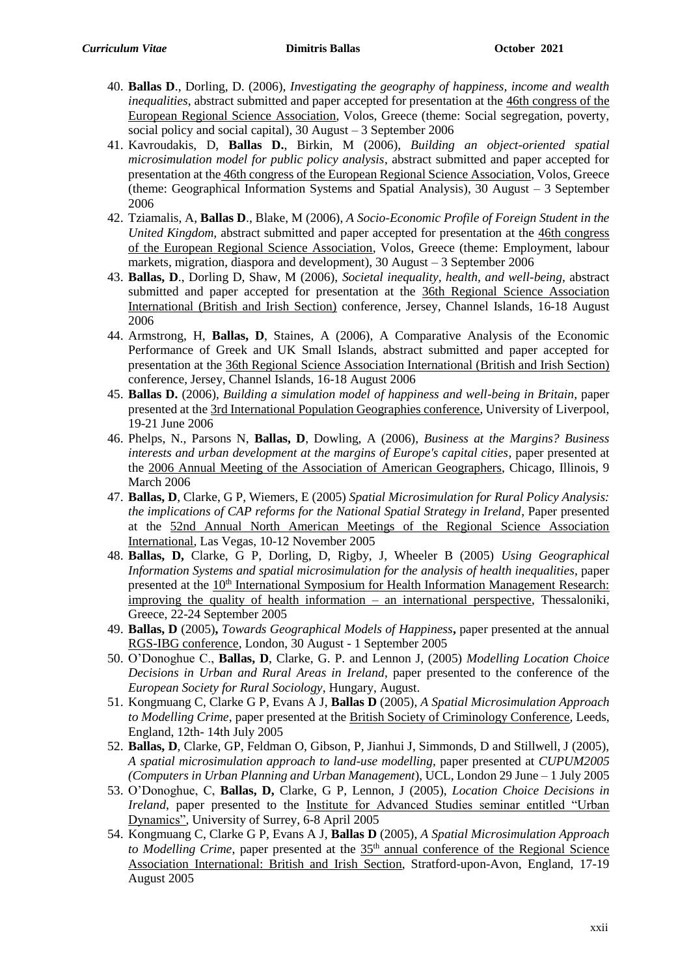- 40. **Ballas D**., Dorling, D. (2006), *Investigating the geography of happiness, income and wealth inequalities*, abstract submitted and paper accepted for presentation at the 46th congress of the European Regional Science Association, Volos, Greece (theme: Social segregation, poverty, social policy and social capital), 30 August – 3 September 2006
- 41. Kavroudakis, D, **Ballas D.**, Birkin, M (2006), *Building an object-oriented spatial microsimulation model for public policy analysis*, abstract submitted and paper accepted for presentation at the 46th congress of the European Regional Science Association, Volos, Greece (theme: Geographical Information Systems and Spatial Analysis), 30 August – 3 September 2006
- 42. Tziamalis, A, **Ballas D**., Blake, M (2006), *A Socio-Economic Profile of Foreign Student in the United Kingdom,* abstract submitted and paper accepted for presentation at the 46th congress of the European Regional Science Association, Volos, Greece (theme: Employment, labour markets, migration, diaspora and development), 30 August – 3 September 2006
- 43. **Ballas, D**., Dorling D, Shaw, M (2006), *Societal inequality, health, and well-being*, abstract submitted and paper accepted for presentation at the 36th Regional Science Association International (British and Irish Section) conference, Jersey, Channel Islands, 16-18 August 2006
- 44. Armstrong, H, **Ballas, D**, Staines, A (2006), A Comparative Analysis of the Economic Performance of Greek and UK Small Islands, abstract submitted and paper accepted for presentation at the 36th Regional Science Association International (British and Irish Section) conference, Jersey, Channel Islands, 16-18 August 2006
- 45. **Ballas D.** (2006), *Building a simulation model of happiness and well-being in Britain*, paper presented at the 3rd International Population Geographies conference, University of Liverpool, 19-21 June 2006
- 46. Phelps, N., Parsons N, **Ballas, D**, Dowling, A (2006), *Business at the Margins? Business interests and urban development at the margins of Europe's capital cities*, paper presented at the 2006 Annual Meeting of the Association of American Geographers, Chicago, Illinois, 9 March 2006
- 47. **Ballas, D**, Clarke, G P, Wiemers, E (2005) *Spatial Microsimulation for Rural Policy Analysis: the implications of CAP reforms for the National Spatial Strategy in Ireland*, Paper presented at the 52nd Annual North American Meetings of the Regional Science Association International, Las Vegas, 10-12 November 2005
- 48. **Ballas, D,** Clarke, G P, Dorling, D, Rigby, J, Wheeler B (2005) *Using Geographical Information Systems and spatial microsimulation for the analysis of health inequalities*, paper presented at the 10th International Symposium for Health Information Management Research: improving the quality of health information – an international perspective, Thessaloniki, Greece, 22-24 September 2005
- 49. **Ballas, D** (2005)**,** *Towards Geographical Models of Happiness***,** paper presented at the annual RGS-IBG conference, London, 30 August - 1 September 2005
- 50. O'Donoghue C., **Ballas, D**, Clarke, G. P. and Lennon J, (2005) *Modelling Location Choice Decisions in Urban and Rural Areas in Ireland*, paper presented to the conference of the *European Society for Rural Sociology*, Hungary, August.
- 51. Kongmuang C, Clarke G P, Evans A J, **Ballas D** (2005), *A Spatial Microsimulation Approach to Modelling Crime*, paper presented at the British Society of Criminology Conference*,* Leeds, England, 12th- 14th July 2005
- 52. **Ballas, D**, Clarke, GP, Feldman O, Gibson, P, Jianhui J, Simmonds, D and Stillwell, J (2005), *A spatial microsimulation approach to land-use modelling*, paper presented at *CUPUM2005 (Computers in Urban Planning and Urban Management*), UCL, London 29 June – 1 July 2005
- 53. O'Donoghue, C, **Ballas, D,** Clarke, G P, Lennon, J (2005), *Location Choice Decisions in Ireland*, paper presented to the Institute for Advanced Studies seminar entitled "Urban Dynamics", University of Surrey, 6-8 April 2005
- 54. Kongmuang C, Clarke G P, Evans A J, **Ballas D** (2005), *A Spatial Microsimulation Approach to Modelling Crime*, paper presented at the 35<sup>th</sup> annual conference of the Regional Science Association International: British and Irish Section, Stratford-upon-Avon, England, 17-19 August 2005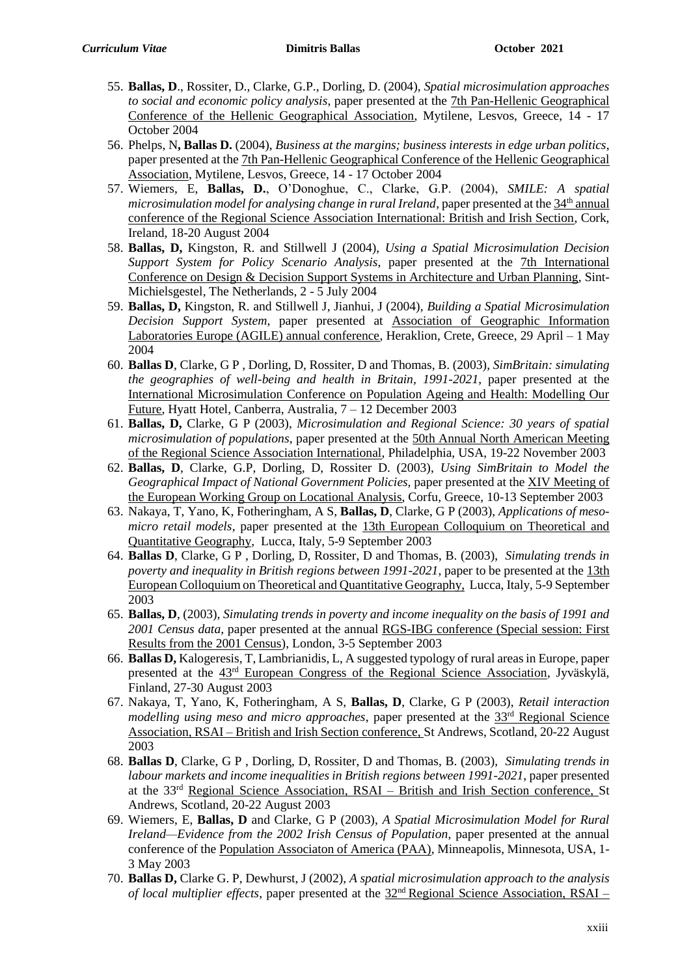- 55. **Ballas, D**., Rossiter, D., Clarke, G.P., Dorling, D. (2004), *Spatial microsimulation approaches to social and economic policy analysis*, paper presented at the 7th Pan-Hellenic Geographical Conference of the Hellenic Geographical Association, Mytilene, Lesvos, Greece, 14 - 17 October 2004
- 56. Phelps, N**, Ballas D.** (2004), *Business at the margins; business interests in edge urban politics*, paper presented at the 7th Pan-Hellenic Geographical Conference of the Hellenic Geographical Association, Mytilene, Lesvos, Greece, 14 - 17 October 2004
- 57. Wiemers, E, **Ballas, D.**, O'Donoghue, C., Clarke, G.P. (2004), *SMILE: A spatial microsimulation model for analysing change in rural Ireland*, paper presented at the 34<sup>th</sup> annual conference of the Regional Science Association International: British and Irish Section, Cork, Ireland, 18-20 August 2004
- 58. **Ballas, D,** Kingston, R. and Stillwell J (2004), *Using a Spatial Microsimulation Decision Support System for Policy Scenario Analysis*, paper presented at the 7th International Conference on Design & Decision Support Systems in Architecture and Urban Planning, Sint-Michielsgestel, The Netherlands, 2 - 5 July 2004
- 59. **Ballas, D,** Kingston, R. and Stillwell J, Jianhui, J (2004), *Building a Spatial Microsimulation Decision Support System*, paper presented at Association of Geographic Information Laboratories Europe (AGILE) annual conference, Heraklion, Crete, Greece, 29 April – 1 May 2004
- 60. **Ballas D**, Clarke, G P , Dorling, D, Rossiter, D and Thomas, B. (2003), *SimBritain: simulating the geographies of well-being and health in Britain, 1991-2021*, paper presented at the International Microsimulation Conference on Population Ageing and Health: Modelling Our Future, Hyatt Hotel, Canberra, Australia, 7 – 12 December 2003
- 61. **Ballas, D,** Clarke, G P (2003), *Microsimulation and Regional Science: 30 years of spatial microsimulation of populations*, paper presented at the 50th Annual North American Meeting of the Regional Science Association International, Philadelphia, USA, 19-22 November 2003
- 62. **Ballas, D**, Clarke, G.P, Dorling, D, Rossiter D. (2003), *Using SimBritain to Model the Geographical Impact of National Government Policies,* paper presented at the XIV Meeting of the European Working Group on Locational Analysis, Corfu, Greece, 10-13 September 2003
- 63. Nakaya, T, Yano, K, Fotheringham, A S, **Ballas, D**, Clarke, G P (2003), *Applications of mesomicro retail models*, paper presented at the 13th European Colloquium on Theoretical and Quantitative Geography, Lucca, Italy, 5-9 September 2003
- 64. **Ballas D**, Clarke, G P , Dorling, D, Rossiter, D and Thomas, B. (2003), *Simulating trends in poverty and inequality in British regions between 1991-2021*, paper to be presented at the 13th European Colloquium on Theoretical and Quantitative Geography, Lucca, Italy, 5-9 September 2003
- 65. **Ballas, D**, (2003), *Simulating trends in poverty and income inequality on the basis of 1991 and 2001 Census data*, paper presented at the annual RGS-IBG conference (Special session: First Results from the 2001 Census), London, 3-5 September 2003
- 66. **Ballas D,** Kalogeresis, T, Lambrianidis, L, A suggested typology of rural areas in Europe, paper presented at the 43rd European Congress of the Regional Science Association, Jyväskylä, Finland, 27-30 August 2003
- 67. Nakaya, T, Yano, K, Fotheringham, A S, **Ballas, D**, Clarke, G P (2003), *Retail interaction modelling using meso and micro approaches*, paper presented at the 33rd Regional Science Association, RSAI – British and Irish Section conference, St Andrews, Scotland, 20-22 August 2003
- 68. **Ballas D**, Clarke, G P , Dorling, D, Rossiter, D and Thomas, B. (2003), *Simulating trends in labour markets and income inequalities in British regions between 1991-2021*, paper presented at the 33rd Regional Science Association, RSAI – British and Irish Section conference, St Andrews, Scotland, 20-22 August 2003
- 69. Wiemers, E, **Ballas, D** and Clarke, G P (2003), *A Spatial Microsimulation Model for Rural Ireland—Evidence from the 2002 Irish Census of Population*, paper presented at the annual conference of the Population Associaton of America (PAA), Minneapolis, Minnesota, USA, 1- 3 May 2003
- 70. **Ballas D,** Clarke G. P, Dewhurst, J (2002), *A spatial microsimulation approach to the analysis of local multiplier effects*, paper presented at the  $32<sup>nd</sup>$  Regional Science Association, RSAI –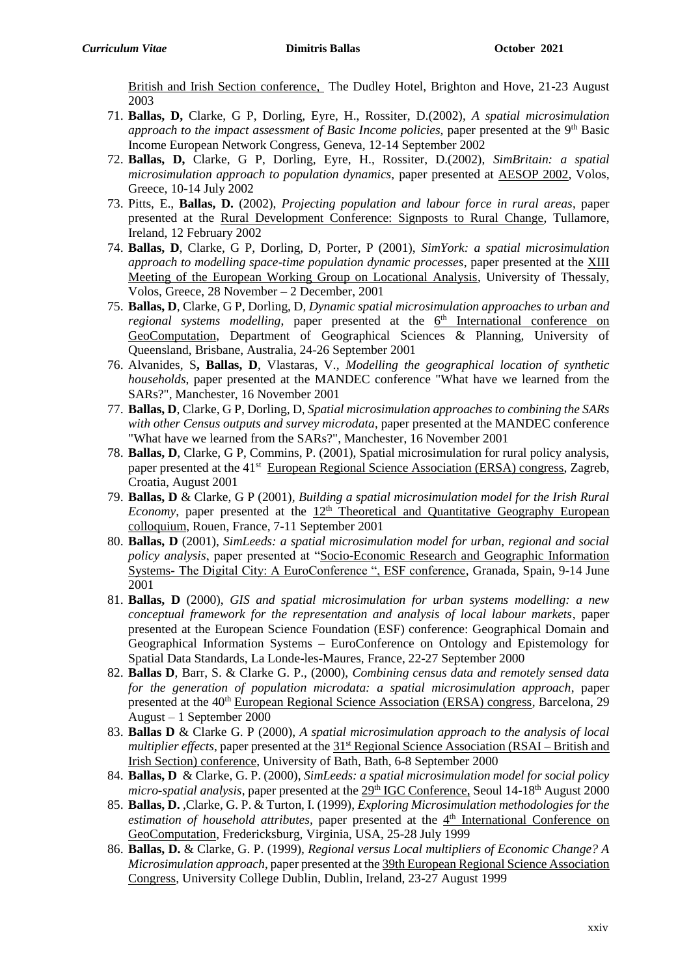British and Irish Section conference, The Dudley Hotel, Brighton and Hove, 21-23 August 2003

- 71. **Ballas, D,** Clarke, G P, Dorling, Eyre, H., Rossiter, D.(2002), *A spatial microsimulation approach to the impact assessment of Basic Income policies, paper presented at the 9<sup>th</sup> Basic* Income European Network Congress, Geneva, 12-14 September 2002
- 72. **Ballas, D,** Clarke, G P, Dorling, Eyre, H., Rossiter, D.(2002), *SimBritain: a spatial microsimulation approach to population dynamics,* paper presented at AESOP 2002, Volos, Greece, 10-14 July 2002
- 73. Pitts, E., **Ballas, D.** (2002), *Projecting population and labour force in rural areas*, paper presented at the Rural Development Conference: Signposts to Rural Change, Tullamore, Ireland, 12 February 2002
- 74. **Ballas, D**, Clarke, G P, Dorling, D, Porter, P (2001), *SimYork: a spatial microsimulation approach to modelling space-time population dynamic processes*, paper presented at the XIII Meeting of the European Working Group on Locational Analysis, University of Thessaly, Volos, Greece, 28 November – 2 December, 2001
- 75. **Ballas, D**, Clarke, G P, Dorling, D*, Dynamic spatial microsimulation approaches to urban and*  regional systems modelling, paper presented at the 6<sup>th</sup> International conference on GeoComputation, Department of Geographical Sciences & Planning, University of Queensland, Brisbane, Australia, 24-26 September 2001
- 76. Alvanides, S**, Ballas, D**, Vlastaras, V*., Modelling the geographical location of synthetic households*, paper presented at the MANDEC conference "What have we learned from the SARs?", Manchester, 16 November 2001
- 77. **Ballas, D**, Clarke, G P, Dorling, D, *Spatial microsimulation approaches to combining the SARs with other Census outputs and survey microdata*, paper presented at the MANDEC conference "What have we learned from the SARs?", Manchester, 16 November 2001
- 78. **Ballas, D**, Clarke, G P, Commins, P. (2001), Spatial microsimulation for rural policy analysis, paper presented at the 41<sup>st</sup> European Regional Science Association (ERSA) congress, Zagreb, Croatia, August 2001
- 79. **Ballas, D** & Clarke, G P (2001)*, Building a spatial microsimulation model for the Irish Rural Economy*, paper presented at the  $12<sup>th</sup>$  Theoretical and Quantitative Geography European colloquium, Rouen, France, 7-11 September 2001
- 80. **Ballas, D** (2001), *SimLeeds: a spatial microsimulation model for urban, regional and social policy analysis*, paper presented at "Socio-Economic Research and Geographic Information Systems**-** The Digital City: A EuroConference ", ESF conference, Granada, Spain, 9-14 June 2001
- 81. **Ballas, D** (2000), *GIS and spatial microsimulation for urban systems modelling: a new conceptual framework for the representation and analysis of local labour markets*, paper presented at the European Science Foundation (ESF) conference: Geographical Domain and Geographical Information Systems – EuroConference on Ontology and Epistemology for Spatial Data Standards, La Londe-les-Maures, France, 22-27 September 2000
- 82. **Ballas D**, Barr, S. & Clarke G. P., (2000), *Combining census data and remotely sensed data for the generation of population microdata: a spatial microsimulation approach*, paper presented at the 40th European Regional Science Association (ERSA) congress, Barcelona, 29 August – 1 September 2000
- 83. **Ballas D** & Clarke G. P (2000), *A spatial microsimulation approach to the analysis of local multiplier effects*, paper presented at the 31<sup>st</sup> Regional Science Association (RSAI – British and Irish Section) conference, University of Bath, Bath, 6-8 September 2000
- 84. **Ballas, D** & Clarke, G. P. (2000), *SimLeeds: a spatial microsimulation model for social policy micro-spatial analysis*, paper presented at the 29<sup>th</sup> IGC Conference, Seoul 14-18<sup>th</sup> August 2000
- 85. **Ballas, D.** ,Clarke, G. P. & Turton, I. (1999), *Exploring Microsimulation methodologies for the*  estimation of household attributes, paper presented at the 4<sup>th</sup> International Conference on GeoComputation, Fredericksburg, Virginia, USA, 25-28 July 1999
- 86. **Ballas, D.** & Clarke, G. P. (1999), *Regional versus Local multipliers of Economic Change? A Microsimulation approach*, paper presented at the 39th European Regional Science Association Congress, University College Dublin, Dublin, Ireland, 23-27 August 1999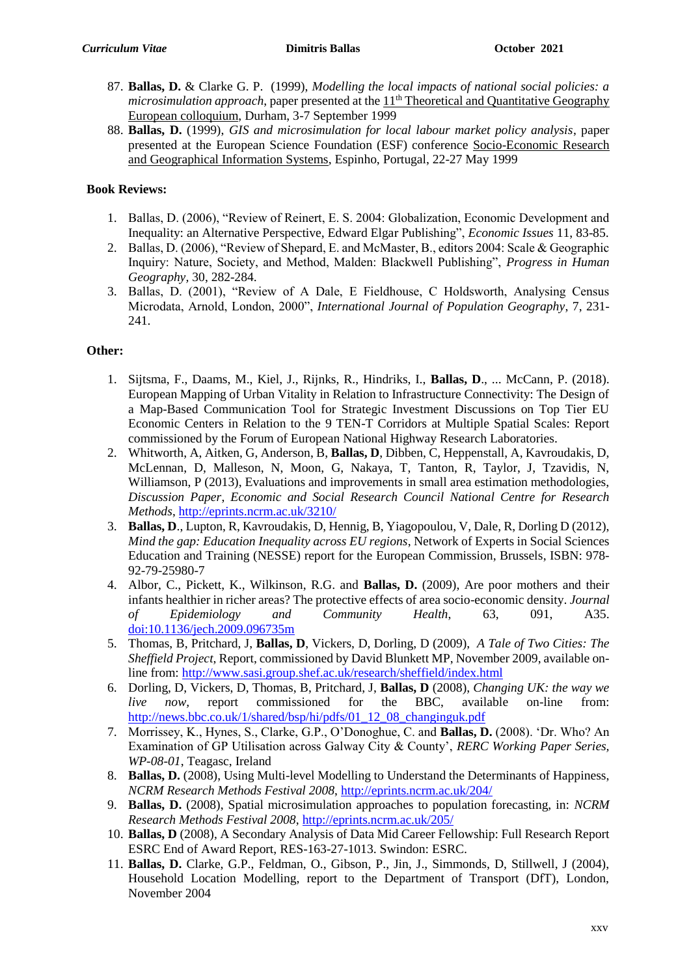- 87. **Ballas, D.** & Clarke G. P. (1999), *Modelling the local impacts of national social policies: a microsimulation approach*, paper presented at the  $11<sup>th</sup>$  Theoretical and Quantitative Geography European colloquium, Durham, 3-7 September 1999
- 88. **Ballas, D.** (1999), *GIS and microsimulation for local labour market policy analysis*, paper presented at the European Science Foundation (ESF) conference Socio-Economic Research and Geographical Information Systems, Espinho, Portugal, 22-27 May 1999

# **Book Reviews:**

- 1. Ballas, D. (2006), "Review of Reinert, E. S. 2004: Globalization, Economic Development and Inequality: an Alternative Perspective, Edward Elgar Publishing", *Economic Issues* 11, 83-85.
- 2. Ballas, D. (2006), "Review of Shepard, E. and McMaster, B., editors 2004: Scale & Geographic Inquiry: Nature, Society, and Method, Malden: Blackwell Publishing", *Progress in Human Geography,* 30, 282-284.
- 3. Ballas, D. (2001), "Review of A Dale, E Fieldhouse, C Holdsworth, Analysing Census Microdata, Arnold, London, 2000", *International Journal of Population Geography*, 7, 231- 241.

## **Other:**

- 1. Sijtsma, F., Daams, M., Kiel, J., Rijnks, R., Hindriks, I., **Ballas, D**., ... McCann, P. (2018). European Mapping of Urban Vitality in Relation to Infrastructure Connectivity: The Design of a Map-Based Communication Tool for Strategic Investment Discussions on Top Tier EU Economic Centers in Relation to the 9 TEN-T Corridors at Multiple Spatial Scales: Report commissioned by the Forum of European National Highway Research Laboratories.
- 2. Whitworth, A, Aitken, G, Anderson, B, **Ballas, D**, Dibben, C, Heppenstall, A, Kavroudakis, D, McLennan, D, Malleson, N, Moon, G, Nakaya, T, Tanton, R, Taylor, J, Tzavidis, N, Williamson, P (2013), Evaluations and improvements in small area estimation methodologies, *Discussion Paper*, *Economic and Social Research Council National Centre for Research Methods*,<http://eprints.ncrm.ac.uk/3210/>
- 3. **Ballas, D**., Lupton, R, Kavroudakis, D, Hennig, B, Yiagopoulou, V, Dale, R, Dorling D (2012), *Mind the gap: Education Inequality across EU regions*, Network of Experts in Social Sciences Education and Training (NESSE) report for the European Commission, Brussels, ISBN: 978- 92-79-25980-7
- 4. Albor, C., Pickett, K., Wilkinson, R.G. and **Ballas, D.** (2009), Are poor mothers and their infants healthier in richer areas? The protective effects of area socio-economic density. *Journal of Epidemiology and Community Health*, 63, 091, A35. [doi:10.1136/jech.2009.096735m](http://dx.doi.org/10.1136/jech.2009.096735m)
- 5. Thomas, B, Pritchard, J, **Ballas, D**, Vickers, D, Dorling, D (2009), *A Tale of Two Cities: The Sheffield Project*, Report, commissioned by David Blunkett MP, November 2009, available online from:<http://www.sasi.group.shef.ac.uk/research/sheffield/index.html>
- 6. Dorling, D, Vickers, D, Thomas, B, Pritchard, J, **Ballas, D** (2008), *Changing UK: the way we live now,* report commissioned for the BBC, available on-line from: [http://news.bbc.co.uk/1/shared/bsp/hi/pdfs/01\\_12\\_08\\_changinguk.pdf](http://news.bbc.co.uk/1/shared/bsp/hi/pdfs/01_12_08_changinguk.pdf)
- 7. Morrissey, K., Hynes, S., Clarke, G.P., O'Donoghue, C. and **Ballas, D.** (2008). 'Dr. Who? An Examination of GP Utilisation across Galway City & County', *RERC Working Paper Series, WP-08-01*, Teagasc, Ireland
- 8. **Ballas, D.** (2008), Using Multi-level Modelling to Understand the Determinants of Happiness, *NCRM Research Methods Festival 2008*,<http://eprints.ncrm.ac.uk/204/>
- 9. **Ballas, D.** (2008), Spatial microsimulation approaches to population forecasting, in: *NCRM Research Methods Festival 2008*[, http://eprints.ncrm.ac.uk/205/](http://eprints.ncrm.ac.uk/205/)
- 10. **Ballas, D** (2008), A Secondary Analysis of Data Mid Career Fellowship: Full Research Report ESRC End of Award Report, RES-163-27-1013. Swindon: ESRC.
- 11. **Ballas, D.** Clarke, G.P., Feldman, O., Gibson, P., Jin, J., Simmonds, D, Stillwell, J (2004), Household Location Modelling, report to the Department of Transport (DfT), London, November 2004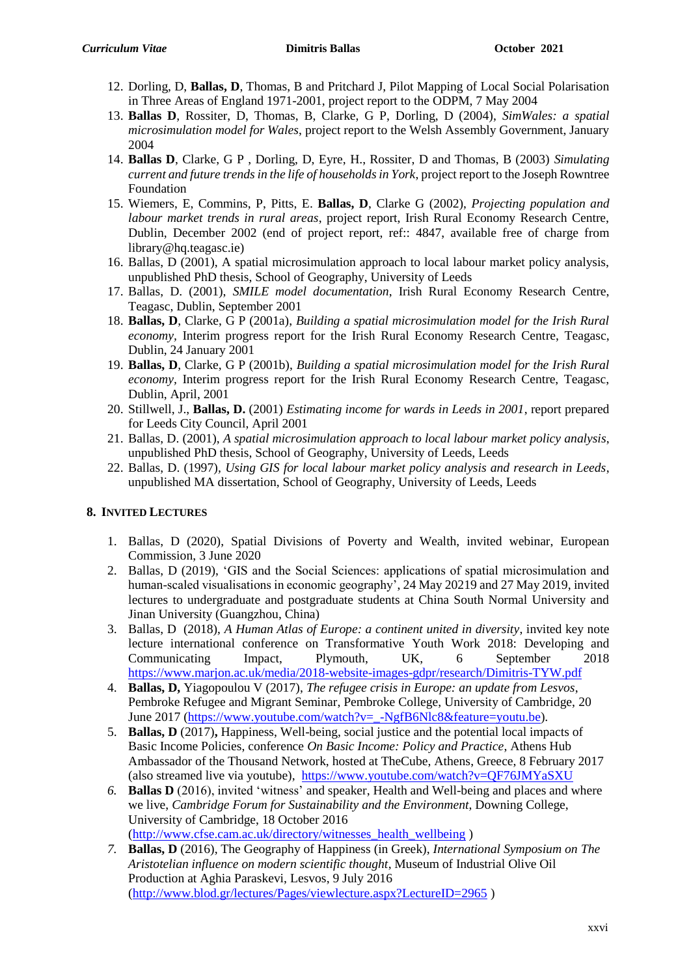- 12. Dorling, D, **Ballas, D**, Thomas, B and Pritchard J, Pilot Mapping of Local Social Polarisation in Three Areas of England 1971-2001, project report to the ODPM, 7 May 2004
- 13. **Ballas D**, Rossiter, D, Thomas, B, Clarke, G P, Dorling, D (2004), *SimWales: a spatial microsimulation model for Wales*, project report to the Welsh Assembly Government, January 2004
- 14. **Ballas D**, Clarke, G P , Dorling, D, Eyre, H., Rossiter, D and Thomas, B (2003) *Simulating current and future trends in the life of households in York*, project report to the Joseph Rowntree Foundation
- 15. Wiemers, E, Commins, P, Pitts, E. **Ballas, D**, Clarke G (2002), *Projecting population and labour market trends in rural areas*, project report, Irish Rural Economy Research Centre, Dublin, December 2002 (end of project report, ref:: 4847, available free of charge from library@hq.teagasc.ie)
- 16. Ballas, D (2001), A spatial microsimulation approach to local labour market policy analysis, unpublished PhD thesis, School of Geography, University of Leeds
- 17. Ballas, D. (2001), *SMILE model documentation*, Irish Rural Economy Research Centre, Teagasc, Dublin, September 2001
- 18. **Ballas, D**, Clarke, G P (2001a), *Building a spatial microsimulation model for the Irish Rural economy,* Interim progress report for the Irish Rural Economy Research Centre, Teagasc, Dublin, 24 January 2001
- 19. **Ballas, D**, Clarke, G P (2001b), *Building a spatial microsimulation model for the Irish Rural economy,* Interim progress report for the Irish Rural Economy Research Centre, Teagasc, Dublin, April, 2001
- 20. Stillwell, J., **Ballas, D.** (2001) *Estimating income for wards in Leeds in 2001*, report prepared for Leeds City Council, April 2001
- 21. Ballas, D. (2001), *A spatial microsimulation approach to local labour market policy analysis*, unpublished PhD thesis, School of Geography, University of Leeds, Leeds
- 22. Ballas, D. (1997)*, Using GIS for local labour market policy analysis and research in Leeds*, unpublished MA dissertation, School of Geography, University of Leeds, Leeds

# **8. INVITED LECTURES**

- 1. Ballas, D (2020), Spatial Divisions of Poverty and Wealth, invited webinar, European Commission, 3 June 2020
- 2. Ballas, D (2019), 'GIS and the Social Sciences: applications of spatial microsimulation and human-scaled visualisations in economic geography', 24 May 20219 and 27 May 2019, invited lectures to undergraduate and postgraduate students at China South Normal University and Jinan University (Guangzhou, China)
- 3. Ballas, D (2018), *A Human Atlas of Europe: a continent united in diversity*, invited key note lecture international conference on Transformative Youth Work 2018: Developing and Communicating Impact, Plymouth, UK, 6 September 2018 <https://www.marjon.ac.uk/media/2018-website-images-gdpr/research/Dimitris-TYW.pdf>
- 4. **Ballas, D,** Yiagopoulou V (2017), *The refugee crisis in Europe: an update from Lesvos*, Pembroke Refugee and Migrant Seminar, Pembroke College, University of Cambridge, 20 June 2017 [\(https://www.youtube.com/watch?v=\\_-NgfB6Nlc8&feature=youtu.be\)](https://www.youtube.com/watch?v=_-NgfB6Nlc8&feature=youtu.be).
- 5. **Ballas, D** (2017)**,** Happiness, Well-being, social justice and the potential local impacts of Basic Income Policies, conference *On Basic Income: Policy and Practice*, Athens Hub Ambassador of the Thousand Network, hosted at TheCube, Athens, Greece, 8 February 2017 (also streamed live via youtube), <https://www.youtube.com/watch?v=QF76JMYaSXU>
- *6.* **Ballas D** (2016), invited 'witness' and speaker, Health and Well-being and places and where we live, *Cambridge Forum for Sustainability and the Environment*, Downing College, University of Cambridge, 18 October 2016 [\(http://www.cfse.cam.ac.uk/directory/witnesses\\_health\\_wellbeing](http://www.cfse.cam.ac.uk/directory/witnesses_health_wellbeing) )
- *7.* **Ballas, D** (2016), The Geography of Happiness (in Greek), *International Symposium on The Aristotelian influence on modern scientific thought*, Museum of Industrial Olive Oil Production at Aghia Paraskevi, Lesvos, 9 July 2016 [\(http://www.blod.gr/lectures/Pages/viewlecture.aspx?LectureID=2965](http://www.blod.gr/lectures/Pages/viewlecture.aspx?LectureID=2965) )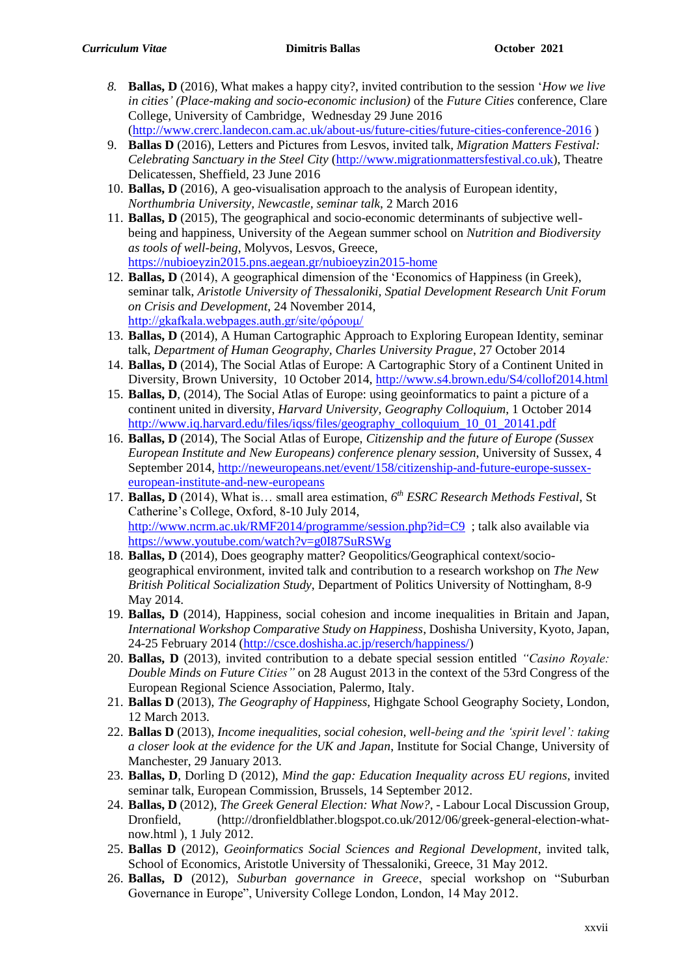- *8.* **Ballas, D** (2016), What makes a happy city?, invited contribution to the session '*How we live in cities' (Place-making and socio-economic inclusion)* of the *Future Cities* conference, Clare College, University of Cambridge, Wednesday 29 June 2016
- [\(http://www.crerc.landecon.cam.ac.uk/about-us/future-cities/future-cities-conference-2016](http://www.crerc.landecon.cam.ac.uk/about-us/future-cities/future-cities-conference-2016) ) 9. **Ballas D** (2016), Letters and Pictures from Lesvos, invited talk*, Migration Matters Festival:*
- *Celebrating Sanctuary in the Steel City* [\(http://www.migrationmattersfestival.co.uk\)](http://www.migrationmattersfestival.co.uk/), Theatre Delicatessen, Sheffield, 23 June 2016
- 10. **Ballas, D** (2016), A geo-visualisation approach to the analysis of European identity, *Northumbria University, Newcastle, seminar talk*, 2 March 2016
- 11. **Ballas, D** (2015), The geographical and socio-economic determinants of subjective wellbeing and happiness, University of the Aegean summer school on *Nutrition and Biodiversity as tools of well-being*, Molyvos, Lesvos, Greece, <https://nubioeyzin2015.pns.aegean.gr/nubioeyzin2015-home>
- 12. **Ballas, D** (2014), A geographical dimension of the 'Economics of Happiness (in Greek), seminar talk, *Aristotle University of Thessaloniki, Spatial Development Research Unit Forum on Crisis and Development*, 24 November 2014, <http://gkafkala.webpages.auth.gr/site/φόρουμ/>
- 13. **Ballas, D** (2014), A Human Cartographic Approach to Exploring European Identity, seminar talk, *Department of Human Geography, Charles University Prague*, 27 October 2014
- 14. **Ballas, D** (2014), The Social Atlas of Europe: A Cartographic Story of a Continent United in Diversity, Brown University, 10 October 2014,<http://www.s4.brown.edu/S4/collof2014.html>
- 15. **Ballas, D**, (2014), The Social Atlas of Europe: using geoinformatics to paint a picture of a continent united in diversity, *Harvard University, Geography Colloquium*, 1 October 2014 [http://www.iq.harvard.edu/files/iqss/files/geography\\_colloquium\\_10\\_01\\_20141.pdf](http://www.iq.harvard.edu/files/iqss/files/geography_colloquium_10_01_20141.pdf)
- 16. **Ballas, D** (2014), The Social Atlas of Europe, *Citizenship and the future of Europe (Sussex European Institute and New Europeans) conference plenary session*, University of Sussex, 4 September 2014, [http://neweuropeans.net/event/158/citizenship-and-future-europe-sussex](http://neweuropeans.net/event/158/citizenship-and-future-europe-sussex-european-institute-and-new-europeans)[european-institute-and-new-europeans](http://neweuropeans.net/event/158/citizenship-and-future-europe-sussex-european-institute-and-new-europeans)
- 17. **Ballas, D** (2014), What is... small area estimation,  $6<sup>th</sup> ESRC Research Methods Festival$ , St Catherine's College, Oxford, 8-10 July 2014, <http://www.ncrm.ac.uk/RMF2014/programme/session.php?id=C9> ; talk also available via <https://www.youtube.com/watch?v=g0I87SuRSWg>
- 18. **Ballas, D** (2014), Does geography matter? Geopolitics/Geographical context/sociogeographical environment, invited talk and contribution to a research workshop on *The New British Political Socialization Study*, Department of Politics University of Nottingham, 8-9 May 2014.
- 19. **Ballas, D** (2014), Happiness, social cohesion and income inequalities in Britain and Japan, *International Workshop Comparative Study on Happiness*, Doshisha University, Kyoto, Japan, 24-25 February 2014 [\(http://csce.doshisha.ac.jp/reserch/happiness/\)](http://csce.doshisha.ac.jp/reserch/happiness/)
- 20. **Ballas, D** (2013), invited contribution to a debate special session entitled *"Casino Royale: Double Minds on Future Cities"* on 28 August 2013 in the context of the 53rd Congress of the European Regional Science Association, Palermo, Italy.
- 21. **Ballas D** (2013), *The Geography of Happiness*, Highgate School Geography Society, London, 12 March 2013.
- 22. **Ballas D** (2013), *Income inequalities, social cohesion, well-being and the 'spirit level': taking a closer look at the evidence for the UK and Japan*, Institute for Social Change, University of Manchester, 29 January 2013.
- 23. **Ballas, D**, Dorling D (2012), *Mind the gap: Education Inequality across EU regions*, invited seminar talk, European Commission, Brussels, 14 September 2012.
- 24. **Ballas, D** (2012), *The Greek General Election: What Now?*, Labour Local Discussion Group, Dronfield, (http://dronfieldblather.blogspot.co.uk/2012/06/greek-general-election-whatnow.html ), 1 July 2012.
- 25. **Ballas D** (2012), *Geoinformatics Social Sciences and Regional Development*, invited talk, School of Economics, Aristotle University of Thessaloniki, Greece, 31 May 2012.
- 26. **Ballas, D** (2012), *Suburban governance in Greece*, special workshop on "Suburban Governance in Europe", University College London, London, 14 May 2012.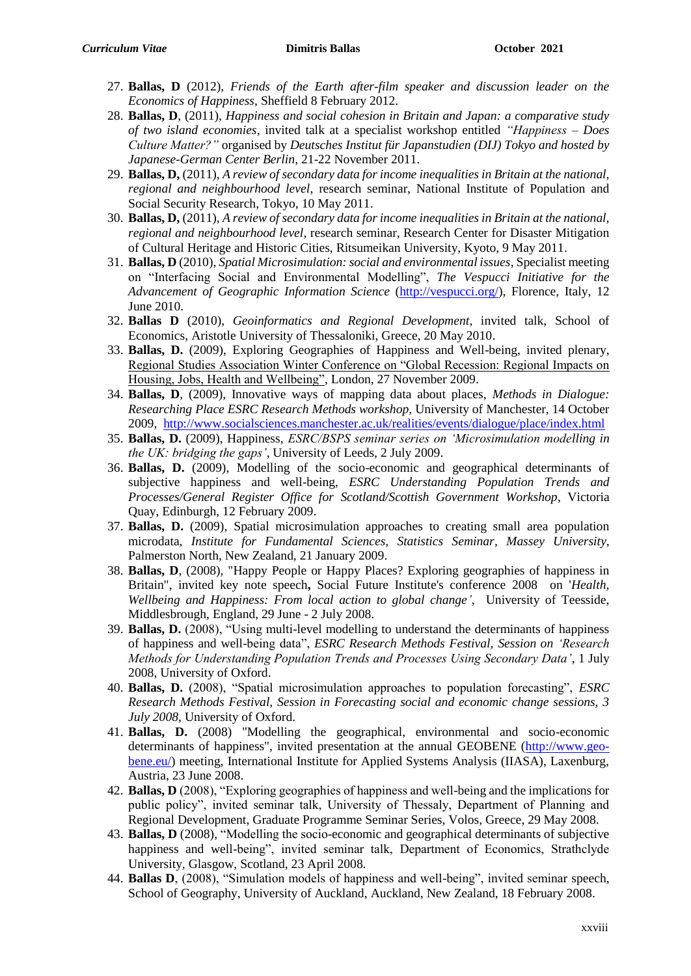- 27. **Ballas, D** (2012), *Friends of the Earth after-film speaker and discussion leader on the Economics of Happiness*, Sheffield 8 February 2012.
- 28. **Ballas, D**, (2011), *Happiness and social cohesion in Britain and Japan: a comparative study of two island economies*, invited talk at a specialist workshop entitled *"Happiness – Does Culture Matter?"* organised by *Deutsches Institut für Japanstudien (DIJ) Tokyo and hosted by Japanese-German Center Berlin*, 21-22 November 2011.
- 29. **Ballas, D,** (2011), *A review of secondary data for income inequalities in Britain at the national, regional and neighbourhood level*, research seminar, National Institute of Population and Social Security Research, Tokyo, 10 May 2011.
- 30. **Ballas, D,** (2011), *A review of secondary data for income inequalities in Britain at the national, regional and neighbourhood level*, research seminar, Research Center for Disaster Mitigation of Cultural Heritage and Historic Cities, Ritsumeikan University, Kyoto, 9 May 2011.
- 31. **Ballas, D** (2010), *Spatial Microsimulation: social and environmental issues*, Specialist meeting on "Interfacing Social and Environmental Modelling", *The Vespucci Initiative for the Advancement of Geographic Information Science* [\(http://vespucci.org/\)](http://vespucci.org/), Florence, Italy, 12 June 2010.
- 32. **Ballas D** (2010), *Geoinformatics and Regional Development*, invited talk, School of Economics, Aristotle University of Thessaloniki, Greece, 20 May 2010.
- 33. **Ballas, D.** (2009), Exploring Geographies of Happiness and Well-being, invited plenary, Regional Studies Association Winter Conference on "Global Recession: Regional Impacts on Housing, Jobs, Health and Wellbeing", London, 27 November 2009.
- 34. **Ballas, D**, (2009), Innovative ways of mapping data about places, *Methods in Dialogue: Researching Place ESRC Research Methods workshop,* University of Manchester, 14 October 2009, <http://www.socialsciences.manchester.ac.uk/realities/events/dialogue/place/index.html>
- 35. **Ballas, D.** (2009), Happiness, *ESRC/BSPS seminar series on 'Microsimulation modelling in the UK: bridging the gaps'*, University of Leeds, 2 July 2009.
- 36. **Ballas, D.** (2009), Modelling of the socio-economic and geographical determinants of subjective happiness and well-being, *ESRC Understanding Population Trends and Processes/General Register Office for Scotland/Scottish Government Workshop*, Victoria Quay, Edinburgh, 12 February 2009.
- 37. **Ballas, D.** (2009), Spatial microsimulation approaches to creating small area population microdata, *Institute for Fundamental Sciences, Statistics Seminar, Massey University*, Palmerston North, New Zealand, 21 January 2009.
- 38. **Ballas, D**, (2008), "Happy People or Happy Places? Exploring geographies of happiness in Britain", invited key note speech**,** Social Future Institute's conference 2008 on '*Health, Wellbeing and Happiness: From local action to global change'*, University of Teesside, Middlesbrough, England, 29 June - 2 July 2008.
- 39. **Ballas, D.** (2008), "Using multi-level modelling to understand the determinants of happiness of happiness and well-being data", *ESRC Research Methods Festival, Session on 'Research Methods for Understanding Population Trends and Processes Using Secondary Data'*, 1 July 2008, University of Oxford.
- 40. **Ballas, D.** (2008), "Spatial microsimulation approaches to population forecasting", *ESRC Research Methods Festival, Session in Forecasting social and economic change sessions, 3 July 2008*, University of Oxford.
- 41. **Ballas, D.** (2008) "Modelling the geographical, environmental and socio-economic determinants of happiness", invited presentation at the annual GEOBENE [\(http://www.geo](http://www.geo-bene.eu/)[bene.eu/\)](http://www.geo-bene.eu/) meeting, International Institute for Applied Systems Analysis (IIASA), Laxenburg, Austria, 23 June 2008.
- 42. **Ballas, D** (2008), "Exploring geographies of happiness and well-being and the implications for public policy", invited seminar talk, University of Thessaly, Department of Planning and Regional Development, Graduate Programme Seminar Series, Volos, Greece, 29 May 2008.
- 43. **Ballas, D** (2008), "Modelling the socio-economic and geographical determinants of subjective happiness and well-being", invited seminar talk, Department of Economics, Strathclyde University, Glasgow, Scotland, 23 April 2008.
- 44. **Ballas D**, (2008), "Simulation models of happiness and well-being", invited seminar speech, School of Geography, University of Auckland, Auckland, New Zealand, 18 February 2008.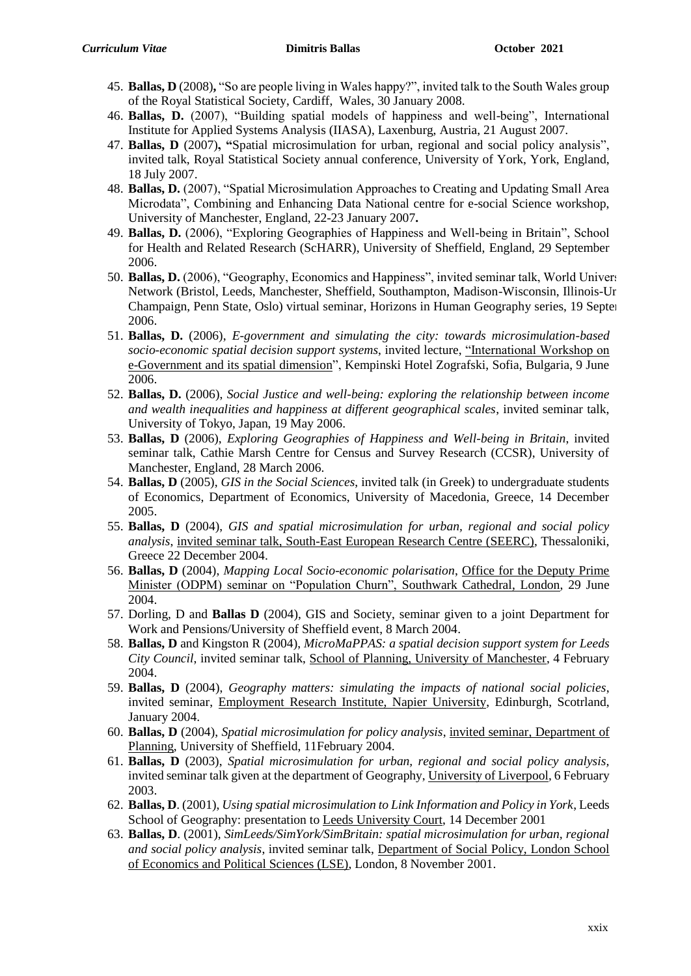- 45. **Ballas, D** (2008)**,** "So are people living in Wales happy?", invited talk to the South Wales group of the Royal Statistical Society, Cardiff, Wales, 30 January 2008.
- 46. **Ballas, D.** (2007), "Building spatial models of happiness and well-being", International Institute for Applied Systems Analysis (IIASA), Laxenburg, Austria, 21 August 2007.
- 47. **Ballas, D** (2007)**, "**Spatial microsimulation for urban, regional and social policy analysis", invited talk, Royal Statistical Society annual conference, University of York, York, England, 18 July 2007.
- 48. **Ballas, D.** (2007), "Spatial Microsimulation Approaches to Creating and Updating Small Area Microdata", Combining and Enhancing Data National centre for e-social Science workshop, University of Manchester, England, 22-23 January 2007**.**
- 49. **Ballas, D.** (2006), "Exploring Geographies of Happiness and Well-being in Britain", School for Health and Related Research (ScHARR), University of Sheffield, England, 29 September 2006.
- 50. **Ballas, D.** (2006), "Geography, Economics and Happiness", invited seminar talk, World University Network (Bristol, Leeds, Manchester, Sheffield, Southampton, Madison-Wisconsin, Illinois-Urbana Champaign, Penn State, Oslo) virtual seminar, Horizons in Human Geography series, 19 September 2006.
- 51. **Ballas, D.** (2006), *E-government and simulating the city: towards microsimulation-based socio-economic spatial decision support systems*, invited lecture, "International Workshop on e-Government and its spatial dimension", Kempinski Hotel Zografski, Sofia, Bulgaria, 9 June 2006.
- 52. **Ballas, D.** (2006), *Social Justice and well-being: exploring the relationship between income and wealth inequalities and happiness at different geographical scales*, invited seminar talk, University of Tokyo, Japan, 19 May 2006.
- 53. **Ballas, D** (2006), *Exploring Geographies of Happiness and Well-being in Britain*, invited seminar talk, Cathie Marsh Centre for Census and Survey Research (CCSR), University of Manchester, England, 28 March 2006.
- 54. **Ballas, D** (2005), *GIS in the Social Sciences*, invited talk (in Greek) to undergraduate students of Economics, Department of Economics, University of Macedonia, Greece, 14 December 2005.
- 55. **Ballas, D** (2004), *GIS and spatial microsimulation for urban, regional and social policy analysis*, invited seminar talk, South-East European Research Centre (SEERC), Thessaloniki, Greece 22 December 2004.
- 56. **Ballas, D** (2004), *Mapping Local Socio-economic polarisation*, Office for the Deputy Prime Minister (ODPM) seminar on "Population Churn", Southwark Cathedral, London, 29 June 2004.
- 57. Dorling, D and **Ballas D** (2004), GIS and Society, seminar given to a joint Department for Work and Pensions/University of Sheffield event, 8 March 2004.
- 58. **Ballas, D** and Kingston R (2004), *MicroMaPPAS: a spatial decision support system for Leeds City Council*, invited seminar talk, School of Planning, University of Manchester, 4 February 2004.
- 59. **Ballas, D** (2004), *Geography matters: simulating the impacts of national social policies*, invited seminar, Employment Research Institute, Napier University, Edinburgh, Scotrland, January 2004.
- 60. **Ballas, D** (2004), *Spatial microsimulation for policy analysis*, invited seminar, Department of Planning, University of Sheffield, 11February 2004.
- 61. **Ballas, D** (2003), *Spatial microsimulation for urban, regional and social policy analysis,*  invited seminar talk given at the department of Geography, University of Liverpool, 6 February 2003.
- 62. **Ballas, D**. (2001), *Using spatial microsimulation to Link Information and Policy in York*, Leeds School of Geography: presentation to Leeds University Court, 14 December 2001
- 63. **Ballas, D**. (2001), *SimLeeds/SimYork/SimBritain: spatial microsimulation for urban, regional and social policy analysis*, invited seminar talk, Department of Social Policy, London School of Economics and Political Sciences (LSE), London, 8 November 2001.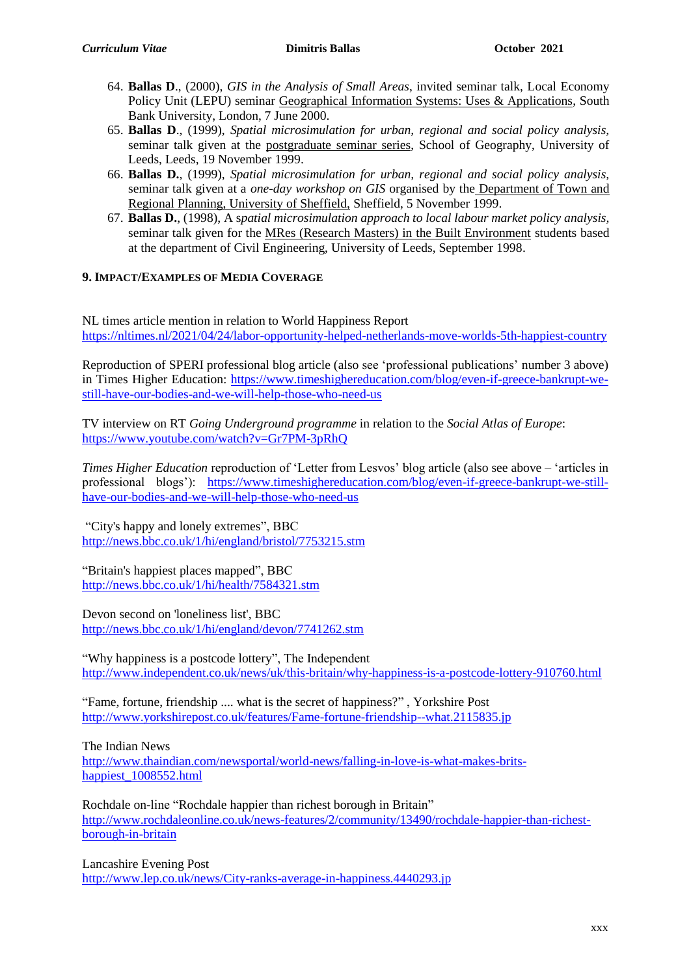- 64. **Ballas D**., (2000), *GIS in the Analysis of Small Areas*, invited seminar talk, Local Economy Policy Unit (LEPU) seminar Geographical Information Systems: Uses & Applications, South Bank University, London, 7 June 2000.
- 65. **Ballas D**., (1999), *Spatial microsimulation for urban, regional and social policy analysis,* seminar talk given at the postgraduate seminar series, School of Geography, University of Leeds, Leeds, 19 November 1999.
- 66. **Ballas D.**, (1999), *Spatial microsimulation for urban, regional and social policy analysis,* seminar talk given at a *one-day workshop on GIS* organised by the Department of Town and Regional Planning, University of Sheffield, Sheffield, 5 November 1999.
- 67. **Ballas D.**, (1998), A s*patial microsimulation approach to local labour market policy analysis,* seminar talk given for the MRes (Research Masters) in the Built Environment students based at the department of Civil Engineering, University of Leeds, September 1998.

# **9. IMPACT/EXAMPLES OF MEDIA COVERAGE**

NL times article mention in relation to World Happiness Report <https://nltimes.nl/2021/04/24/labor-opportunity-helped-netherlands-move-worlds-5th-happiest-country>

Reproduction of SPERI professional blog article (also see 'professional publications' number 3 above) in Times Higher Education: [https://www.timeshighereducation.com/blog/even-if-greece-bankrupt-we](https://www.timeshighereducation.com/blog/even-if-greece-bankrupt-we-still-have-our-bodies-and-we-will-help-those-who-need-us)[still-have-our-bodies-and-we-will-help-those-who-need-us](https://www.timeshighereducation.com/blog/even-if-greece-bankrupt-we-still-have-our-bodies-and-we-will-help-those-who-need-us)

TV interview on RT *Going Underground programme* in relation to the *Social Atlas of Europe*: <https://www.youtube.com/watch?v=Gr7PM-3pRhQ>

*Times Higher Education* reproduction of 'Letter from Lesvos' blog article (also see above – 'articles in professional blogs'): [https://www.timeshighereducation.com/blog/even-if-greece-bankrupt-we-still](https://www.timeshighereducation.com/blog/even-if-greece-bankrupt-we-still-have-our-bodies-and-we-will-help-those-who-need-us)[have-our-bodies-and-we-will-help-those-who-need-us](https://www.timeshighereducation.com/blog/even-if-greece-bankrupt-we-still-have-our-bodies-and-we-will-help-those-who-need-us)

"City's happy and lonely extremes", BBC <http://news.bbc.co.uk/1/hi/england/bristol/7753215.stm>

"Britain's happiest places mapped", BBC <http://news.bbc.co.uk/1/hi/health/7584321.stm>

Devon second on 'loneliness list', BBC <http://news.bbc.co.uk/1/hi/england/devon/7741262.stm>

"Why happiness is a postcode lottery", The Independent <http://www.independent.co.uk/news/uk/this-britain/why-happiness-is-a-postcode-lottery-910760.html>

"Fame, fortune, friendship .... what is the secret of happiness?" , Yorkshire Post <http://www.yorkshirepost.co.uk/features/Fame-fortune-friendship--what.2115835.jp>

The Indian News

[http://www.thaindian.com/newsportal/world-news/falling-in-love-is-what-makes-brits](http://www.thaindian.com/newsportal/world-news/falling-in-love-is-what-makes-brits-happiest_1008552.html)[happiest\\_1008552.html](http://www.thaindian.com/newsportal/world-news/falling-in-love-is-what-makes-brits-happiest_1008552.html)

Rochdale on-line "Rochdale happier than richest borough in Britain" [http://www.rochdaleonline.co.uk/news-features/2/community/13490/rochdale-happier-than-richest](http://www.rochdaleonline.co.uk/news-features/2/community/13490/rochdale-happier-than-richest-borough-in-britain)[borough-in-britain](http://www.rochdaleonline.co.uk/news-features/2/community/13490/rochdale-happier-than-richest-borough-in-britain)

Lancashire Evening Post <http://www.lep.co.uk/news/City-ranks-average-in-happiness.4440293.jp>